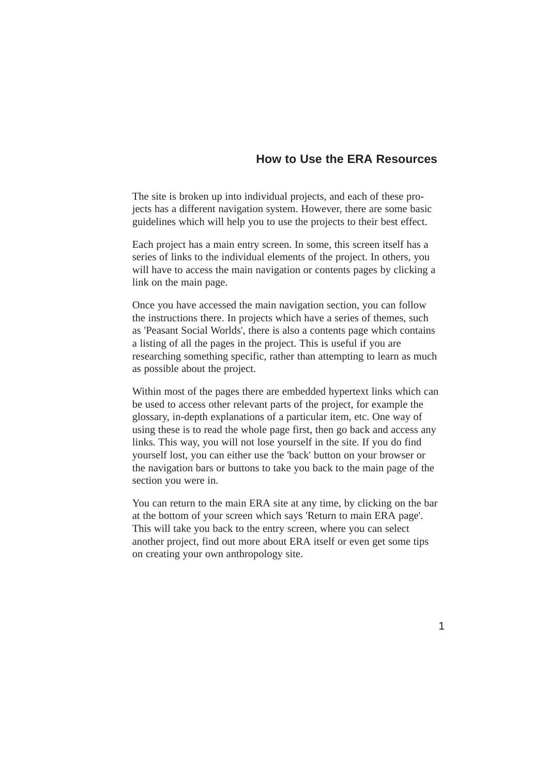# **How to Use the ERA Resources**

The site is broken up into individual projects, and each of these projects has a different navigation system. However, there are some basic guidelines which will help you to use the projects to their best effect.

Each project has a main entry screen. In some, this screen itself has a series of links to the individual elements of the project. In others, you will have to access the main navigation or contents pages by clicking a link on the main page.

Once you have accessed the main navigation section, you can follow the instructions there. In projects which have a series of themes, such as 'Peasant Social Worlds', there is also a contents page which contains a listing of all the pages in the project. This is useful if you are researching something specific, rather than attempting to learn as much as possible about the project.

Within most of the pages there are embedded hypertext links which can be used to access other relevant parts of the project, for example the glossary, in-depth explanations of a particular item, etc. One way of using these is to read the whole page first, then go back and access any links. This way, you will not lose yourself in the site. If you do find yourself lost, you can either use the 'back' button on your browser or the navigation bars or buttons to take you back to the main page of the section you were in.

You can return to the main ERA site at any time, by clicking on the bar at the bottom of your screen which says 'Return to main ERA page'. This will take you back to the entry screen, where you can select another project, find out more about ERA itself or even get some tips on creating your own anthropology site.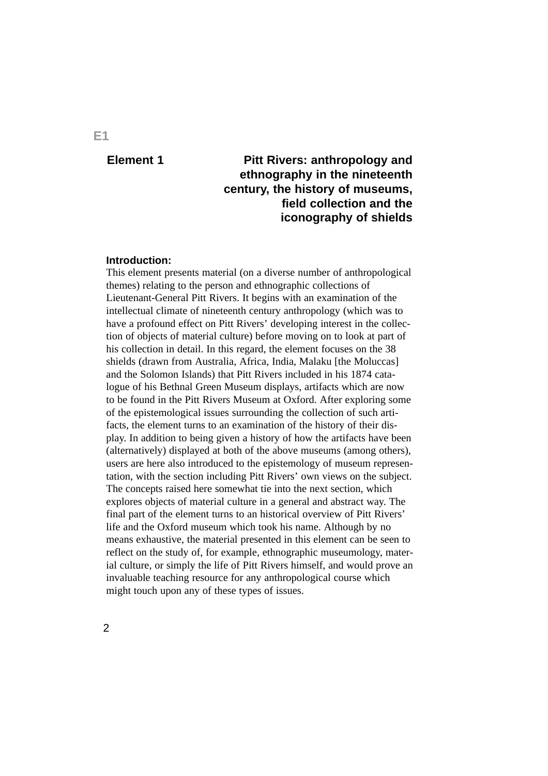# **Element 1**

# **Pitt Rivers: anthropology and ethnography in the nineteenth century, the history of museums, field collection and the iconography of shields**

### **Introduction:**

This element presents material (on a diverse number of anthropological themes) relating to the person and ethnographic collections of Lieutenant-General Pitt Rivers. It begins with an examination of the intellectual climate of nineteenth century anthropology (which was to have a profound effect on Pitt Rivers' developing interest in the collection of objects of material culture) before moving on to look at part of his collection in detail. In this regard, the element focuses on the 38 shields (drawn from Australia, Africa, India, Malaku [the Moluccas] and the Solomon Islands) that Pitt Rivers included in his 1874 catalogue of his Bethnal Green Museum displays, artifacts which are now to be found in the Pitt Rivers Museum at Oxford. After exploring some of the epistemological issues surrounding the collection of such artifacts, the element turns to an examination of the history of their display. In addition to being given a history of how the artifacts have been (alternatively) displayed at both of the above museums (among others), users are here also introduced to the epistemology of museum representation, with the section including Pitt Rivers' own views on the subject. The concepts raised here somewhat tie into the next section, which explores objects of material culture in a general and abstract way. The final part of the element turns to an historical overview of Pitt Rivers' life and the Oxford museum which took his name. Although by no means exhaustive, the material presented in this element can be seen to reflect on the study of, for example, ethnographic museumology, material culture, or simply the life of Pitt Rivers himself, and would prove an invaluable teaching resource for any anthropological course which might touch upon any of these types of issues.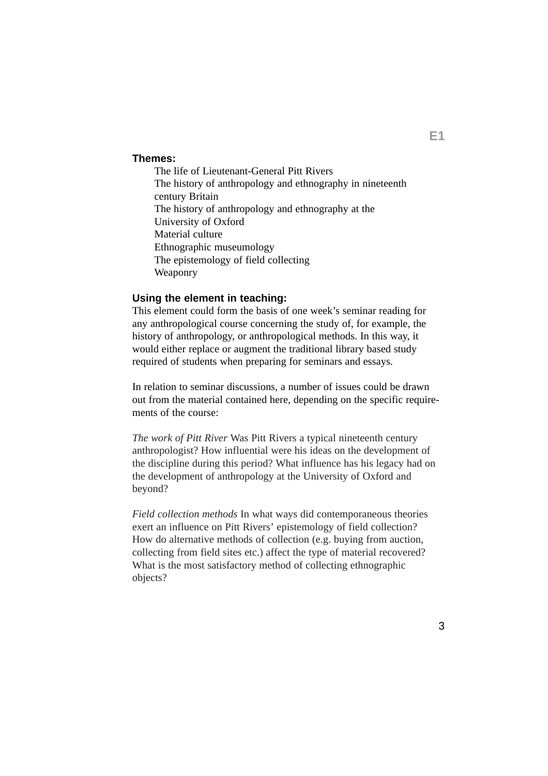#### **Themes:**

The life of Lieutenant-General Pitt Rivers The history of anthropology and ethnography in nineteenth century Britain The history of anthropology and ethnography at the University of Oxford Material culture Ethnographic museumology The epistemology of field collecting Weaponry

## **Using the element in teaching:**

This element could form the basis of one week's seminar reading for any anthropological course concerning the study of, for example, the history of anthropology, or anthropological methods. In this way, it would either replace or augment the traditional library based study required of students when preparing for seminars and essays.

In relation to seminar discussions, a number of issues could be drawn out from the material contained here, depending on the specific requirements of the course:

*The work of Pitt River* Was Pitt Rivers a typical nineteenth century anthropologist? How influential were his ideas on the development of the discipline during this period? What influence has his legacy had on the development of anthropology at the University of Oxford and beyond?

*Field collection methods* In what ways did contemporaneous theories exert an influence on Pitt Rivers' epistemology of field collection? How do alternative methods of collection (e.g. buying from auction, collecting from field sites etc.) affect the type of material recovered? What is the most satisfactory method of collecting ethnographic objects?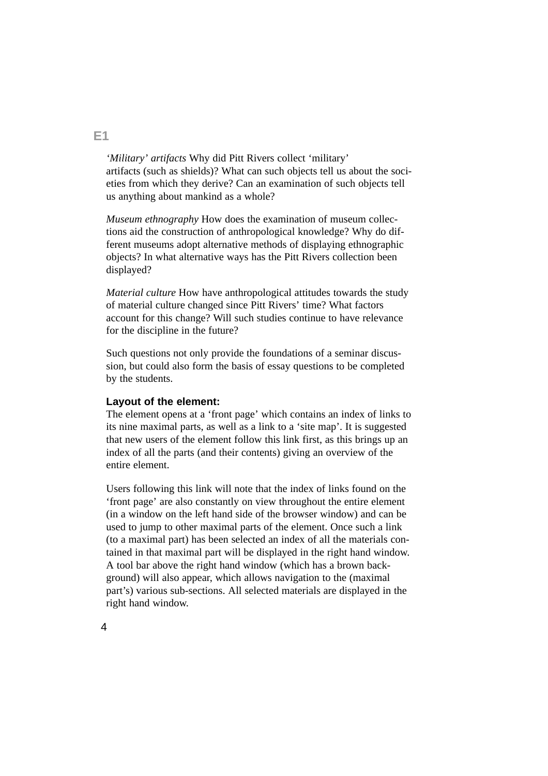*'Military' artifacts* Why did Pitt Rivers collect 'military' artifacts (such as shields)? What can such objects tell us about the societies from which they derive? Can an examination of such objects tell us anything about mankind as a whole?

*Museum ethnography* How does the examination of museum collections aid the construction of anthropological knowledge? Why do different museums adopt alternative methods of displaying ethnographic objects? In what alternative ways has the Pitt Rivers collection been displayed?

*Material culture* How have anthropological attitudes towards the study of material culture changed since Pitt Rivers' time? What factors account for this change? Will such studies continue to have relevance for the discipline in the future?

Such questions not only provide the foundations of a seminar discussion, but could also form the basis of essay questions to be completed by the students.

#### **Layout of the element:**

The element opens at a 'front page' which contains an index of links to its nine maximal parts, as well as a link to a 'site map'. It is suggested that new users of the element follow this link first, as this brings up an index of all the parts (and their contents) giving an overview of the entire element.

Users following this link will note that the index of links found on the 'front page' are also constantly on view throughout the entire element (in a window on the left hand side of the browser window) and can be used to jump to other maximal parts of the element. Once such a link (to a maximal part) has been selected an index of all the materials contained in that maximal part will be displayed in the right hand window. A tool bar above the right hand window (which has a brown background) will also appear, which allows navigation to the (maximal part's) various sub-sections. All selected materials are displayed in the right hand window.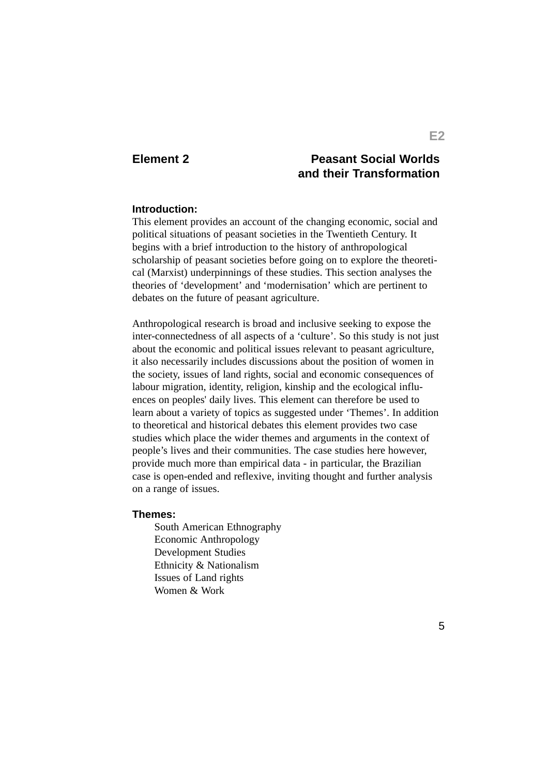## **Element 2**

# **Peasant Social Worlds and their Transformation**

#### **Introduction:**

This element provides an account of the changing economic, social and political situations of peasant societies in the Twentieth Century. It begins with a brief introduction to the history of anthropological scholarship of peasant societies before going on to explore the theoretical (Marxist) underpinnings of these studies. This section analyses the theories of 'development' and 'modernisation' which are pertinent to debates on the future of peasant agriculture.

Anthropological research is broad and inclusive seeking to expose the inter-connectedness of all aspects of a 'culture'. So this study is not just about the economic and political issues relevant to peasant agriculture, it also necessarily includes discussions about the position of women in the society, issues of land rights, social and economic consequences of labour migration, identity, religion, kinship and the ecological influences on peoples' daily lives. This element can therefore be used to learn about a variety of topics as suggested under 'Themes'. In addition to theoretical and historical debates this element provides two case studies which place the wider themes and arguments in the context of people's lives and their communities. The case studies here however, provide much more than empirical data - in particular, the Brazilian case is open-ended and reflexive, inviting thought and further analysis on a range of issues.

#### **Themes:**

South American Ethnography Economic Anthropology Development Studies Ethnicity & Nationalism Issues of Land rights Women & Work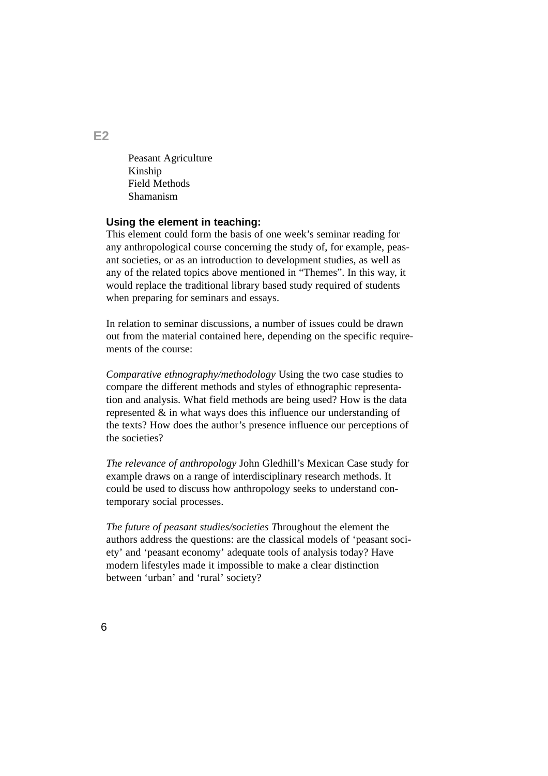Peasant Agriculture Kinship Field Methods Shamanism

#### **Using the element in teaching:**

This element could form the basis of one week's seminar reading for any anthropological course concerning the study of, for example, peasant societies, or as an introduction to development studies, as well as any of the related topics above mentioned in "Themes". In this way, it would replace the traditional library based study required of students when preparing for seminars and essays.

In relation to seminar discussions, a number of issues could be drawn out from the material contained here, depending on the specific requirements of the course:

*Comparative ethnography/methodology* Using the two case studies to compare the different methods and styles of ethnographic representation and analysis. What field methods are being used? How is the data represented & in what ways does this influence our understanding of the texts? How does the author's presence influence our perceptions of the societies?

*The relevance of anthropology* John Gledhill's Mexican Case study for example draws on a range of interdisciplinary research methods. It could be used to discuss how anthropology seeks to understand contemporary social processes.

*The future of peasant studies/societies T*hroughout the element the authors address the questions: are the classical models of 'peasant society' and 'peasant economy' adequate tools of analysis today? Have modern lifestyles made it impossible to make a clear distinction between 'urban' and 'rural' society?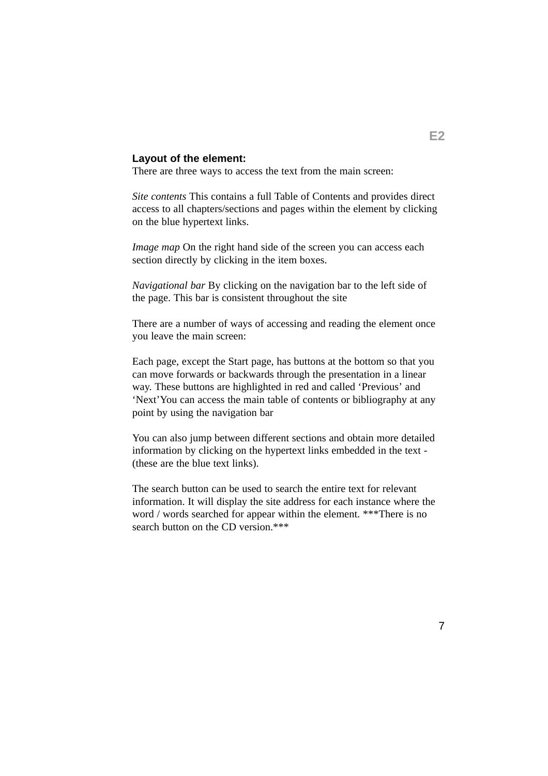### **Layout of the element:**

There are three ways to access the text from the main screen:

*Site contents* This contains a full Table of Contents and provides direct access to all chapters/sections and pages within the element by clicking on the blue hypertext links.

*Image map* On the right hand side of the screen you can access each section directly by clicking in the item boxes.

*Navigational bar* By clicking on the navigation bar to the left side of the page. This bar is consistent throughout the site

There are a number of ways of accessing and reading the element once you leave the main screen:

Each page, except the Start page, has buttons at the bottom so that you can move forwards or backwards through the presentation in a linear way. These buttons are highlighted in red and called 'Previous' and 'Next'You can access the main table of contents or bibliography at any point by using the navigation bar

You can also jump between different sections and obtain more detailed information by clicking on the hypertext links embedded in the text - (these are the blue text links).

The search button can be used to search the entire text for relevant information. It will display the site address for each instance where the word / words searched for appear within the element. \*\*\*There is no search button on the CD version.\*\*\*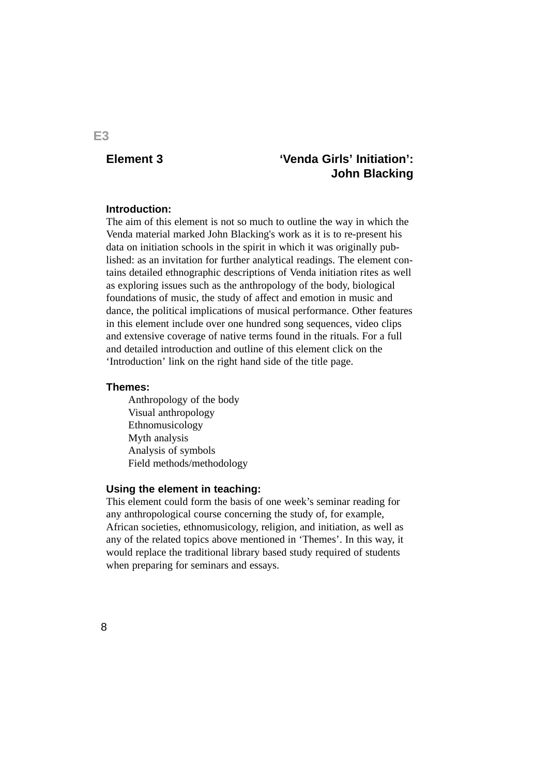## **Element 3**

# **'Venda Girls' Initiation': John Blacking**

#### **Introduction:**

The aim of this element is not so much to outline the way in which the Venda material marked John Blacking's work as it is to re-present his data on initiation schools in the spirit in which it was originally published: as an invitation for further analytical readings. The element contains detailed ethnographic descriptions of Venda initiation rites as well as exploring issues such as the anthropology of the body, biological foundations of music, the study of affect and emotion in music and dance, the political implications of musical performance. Other features in this element include over one hundred song sequences, video clips and extensive coverage of native terms found in the rituals. For a full and detailed introduction and outline of this element click on the 'Introduction' link on the right hand side of the title page.

#### **Themes:**

Anthropology of the body Visual anthropology Ethnomusicology Myth analysis Analysis of symbols Field methods/methodology

#### **Using the element in teaching:**

This element could form the basis of one week's seminar reading for any anthropological course concerning the study of, for example, African societies, ethnomusicology, religion, and initiation, as well as any of the related topics above mentioned in 'Themes'. In this way, it would replace the traditional library based study required of students when preparing for seminars and essays.

### **E3**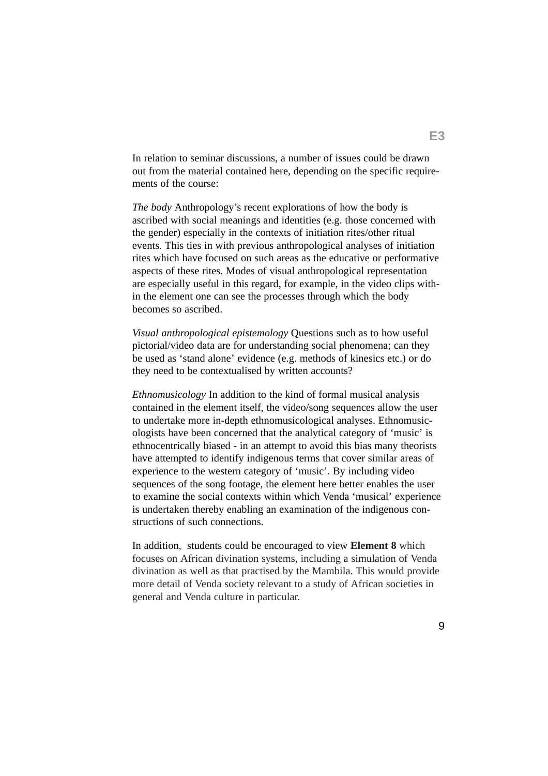In relation to seminar discussions, a number of issues could be drawn out from the material contained here, depending on the specific requirements of the course:

*The body* Anthropology's recent explorations of how the body is ascribed with social meanings and identities (e.g. those concerned with the gender) especially in the contexts of initiation rites/other ritual events. This ties in with previous anthropological analyses of initiation rites which have focused on such areas as the educative or performative aspects of these rites. Modes of visual anthropological representation are especially useful in this regard, for example, in the video clips within the element one can see the processes through which the body becomes so ascribed.

*Visual anthropological epistemology* Questions such as to how useful pictorial/video data are for understanding social phenomena; can they be used as 'stand alone' evidence (e.g. methods of kinesics etc.) or do they need to be contextualised by written accounts?

*Ethnomusicology* In addition to the kind of formal musical analysis contained in the element itself, the video/song sequences allow the user to undertake more in-depth ethnomusicological analyses. Ethnomusicologists have been concerned that the analytical category of 'music' is ethnocentrically biased - in an attempt to avoid this bias many theorists have attempted to identify indigenous terms that cover similar areas of experience to the western category of 'music'. By including video sequences of the song footage, the element here better enables the user to examine the social contexts within which Venda 'musical' experience is undertaken thereby enabling an examination of the indigenous constructions of such connections.

In addition, students could be encouraged to view **Element 8** which focuses on African divination systems, including a simulation of Venda divination as well as that practised by the Mambila. This would provide more detail of Venda society relevant to a study of African societies in general and Venda culture in particular.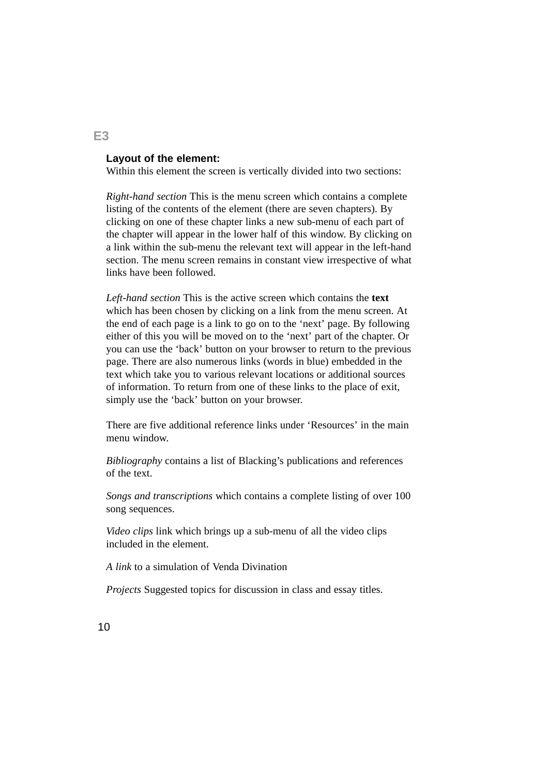### **Layout of the element:**

Within this element the screen is vertically divided into two sections:

*Right-hand section* This is the menu screen which contains a complete listing of the contents of the element (there are seven chapters). By clicking on one of these chapter links a new sub-menu of each part of the chapter will appear in the lower half of this window. By clicking on a link within the sub-menu the relevant text will appear in the left-hand section. The menu screen remains in constant view irrespective of what links have been followed.

*Left-hand section* This is the active screen which contains the **text** which has been chosen by clicking on a link from the menu screen. At the end of each page is a link to go on to the 'next' page. By following either of this you will be moved on to the 'next' part of the chapter. Or you can use the 'back' button on your browser to return to the previous page. There are also numerous links (words in blue) embedded in the text which take you to various relevant locations or additional sources of information. To return from one of these links to the place of exit, simply use the 'back' button on your browser.

There are five additional reference links under 'Resources' in the main menu window.

*Bibliography* contains a list of Blacking's publications and references of the text.

*Songs and transcriptions* which contains a complete listing of over 100 song sequences.

*Video clips* link which brings up a sub-menu of all the video clips included in the element.

*A link* to a simulation of Venda Divination

*Projects* Suggested topics for discussion in class and essay titles.

**E3**

10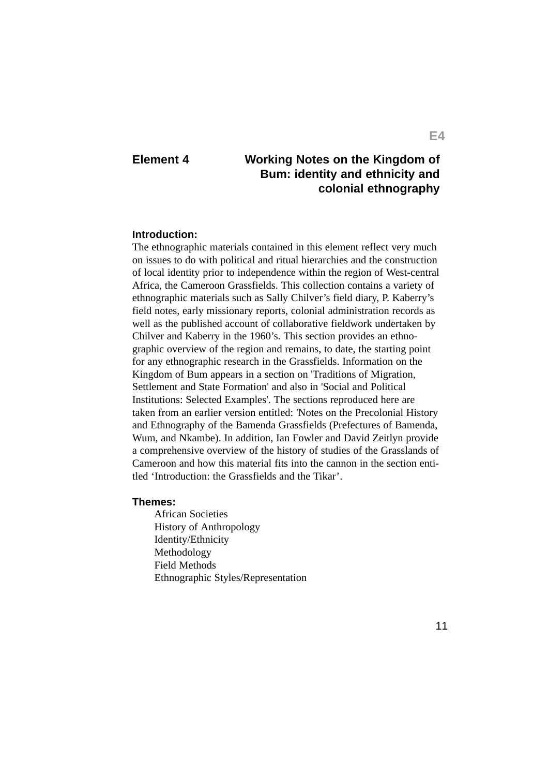# **Element 4 Working Notes on the Kingdom of Bum: identity and ethnicity and colonial ethnography**

#### **Introduction:**

The ethnographic materials contained in this element reflect very much on issues to do with political and ritual hierarchies and the construction of local identity prior to independence within the region of West-central Africa, the Cameroon Grassfields. This collection contains a variety of ethnographic materials such as Sally Chilver's field diary, P. Kaberry's field notes, early missionary reports, colonial administration records as well as the published account of collaborative fieldwork undertaken by Chilver and Kaberry in the 1960's. This section provides an ethnographic overview of the region and remains, to date, the starting point for any ethnographic research in the Grassfields. Information on the Kingdom of Bum appears in a section on 'Traditions of Migration, Settlement and State Formation' and also in 'Social and Political Institutions: Selected Examples'. The sections reproduced here are taken from an earlier version entitled: 'Notes on the Precolonial History and Ethnography of the Bamenda Grassfields (Prefectures of Bamenda, Wum, and Nkambe). In addition, Ian Fowler and David Zeitlyn provide a comprehensive overview of the history of studies of the Grasslands of Cameroon and how this material fits into the cannon in the section entitled 'Introduction: the Grassfields and the Tikar'.

#### **Themes:**

African Societies History of Anthropology Identity/Ethnicity Methodology Field Methods Ethnographic Styles/Representation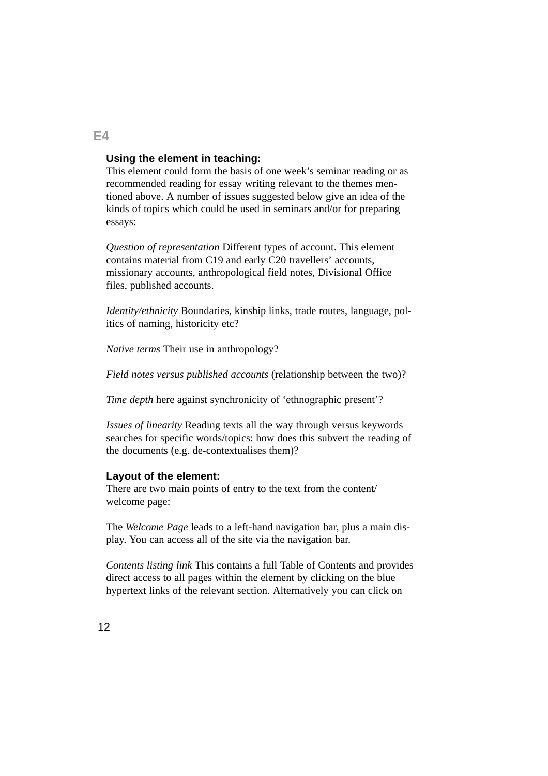### **Using the element in teaching:**

This element could form the basis of one week's seminar reading or as recommended reading for essay writing relevant to the themes mentioned above. A number of issues suggested below give an idea of the kinds of topics which could be used in seminars and/or for preparing essays:

*Question of representation* Different types of account. This element contains material from C19 and early C20 travellers' accounts, missionary accounts, anthropological field notes, Divisional Office files, published accounts.

*Identity/ethnicity* Boundaries, kinship links, trade routes, language, politics of naming, historicity etc?

*Native terms* Their use in anthropology?

*Field notes versus published accounts* (relationship between the two)?

*Time depth* here against synchronicity of 'ethnographic present'?

*Issues of linearity* Reading texts all the way through versus keywords searches for specific words/topics: how does this subvert the reading of the documents (e.g. de-contextualises them)?

#### **Layout of the element:**

There are two main points of entry to the text from the content/ welcome page:

The *Welcome Page* leads to a left-hand navigation bar, plus a main display. You can access all of the site via the navigation bar.

*Contents listing link* This contains a full Table of Contents and provides direct access to all pages within the element by clicking on the blue hypertext links of the relevant section. Alternatively you can click on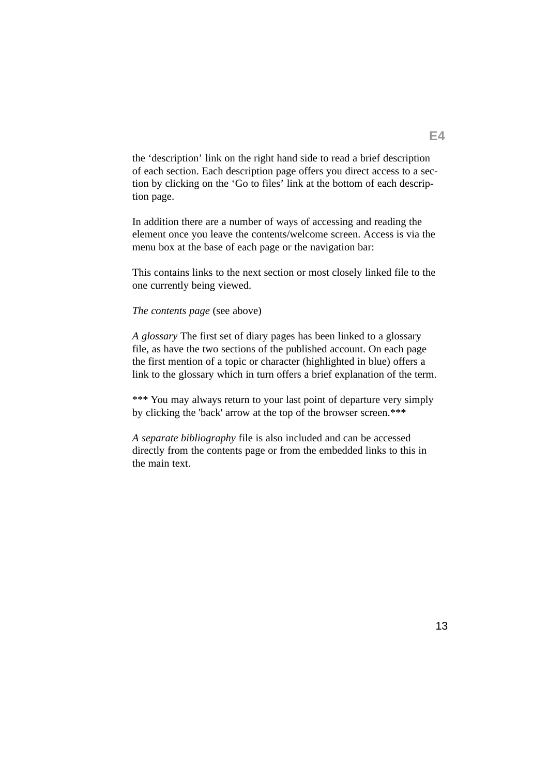the 'description' link on the right hand side to read a brief description of each section. Each description page offers you direct access to a section by clicking on the 'Go to files' link at the bottom of each description page.

In addition there are a number of ways of accessing and reading the element once you leave the contents/welcome screen. Access is via the menu box at the base of each page or the navigation bar:

This contains links to the next section or most closely linked file to the one currently being viewed.

### *The contents page* (see above)

*A glossary* The first set of diary pages has been linked to a glossary file, as have the two sections of the published account. On each page the first mention of a topic or character (highlighted in blue) offers a link to the glossary which in turn offers a brief explanation of the term.

\*\*\* You may always return to your last point of departure very simply by clicking the 'back' arrow at the top of the browser screen.\*\*\*

*A separate bibliography* file is also included and can be accessed directly from the contents page or from the embedded links to this in the main text.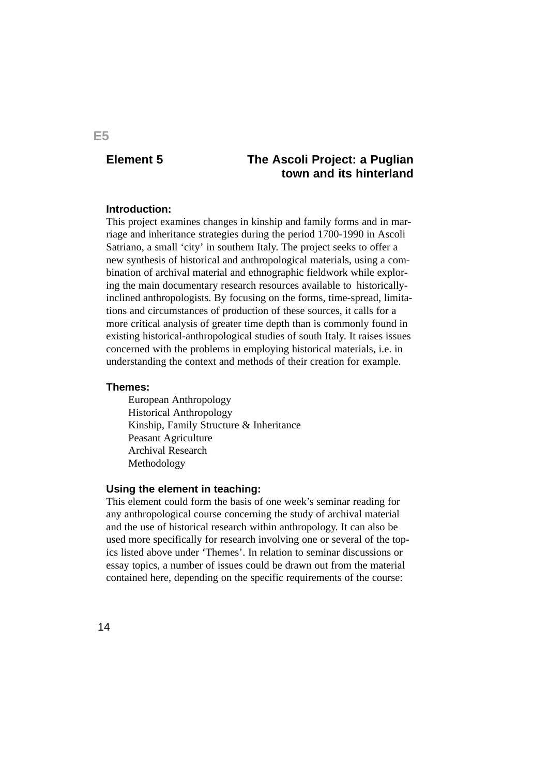# **Element 5 The Ascoli Project: a Puglian town and its hinterland**

#### **Introduction:**

This project examines changes in kinship and family forms and in marriage and inheritance strategies during the period 1700-1990 in Ascoli Satriano, a small 'city' in southern Italy. The project seeks to offer a new synthesis of historical and anthropological materials, using a combination of archival material and ethnographic fieldwork while exploring the main documentary research resources available to historicallyinclined anthropologists. By focusing on the forms, time-spread, limitations and circumstances of production of these sources, it calls for a more critical analysis of greater time depth than is commonly found in existing historical-anthropological studies of south Italy. It raises issues concerned with the problems in employing historical materials, i.e. in understanding the context and methods of their creation for example.

#### **Themes:**

European Anthropology Historical Anthropology Kinship, Family Structure & Inheritance Peasant Agriculture Archival Research Methodology

#### **Using the element in teaching:**

This element could form the basis of one week's seminar reading for any anthropological course concerning the study of archival material and the use of historical research within anthropology. It can also be used more specifically for research involving one or several of the topics listed above under 'Themes'. In relation to seminar discussions or essay topics, a number of issues could be drawn out from the material contained here, depending on the specific requirements of the course:

## **E5**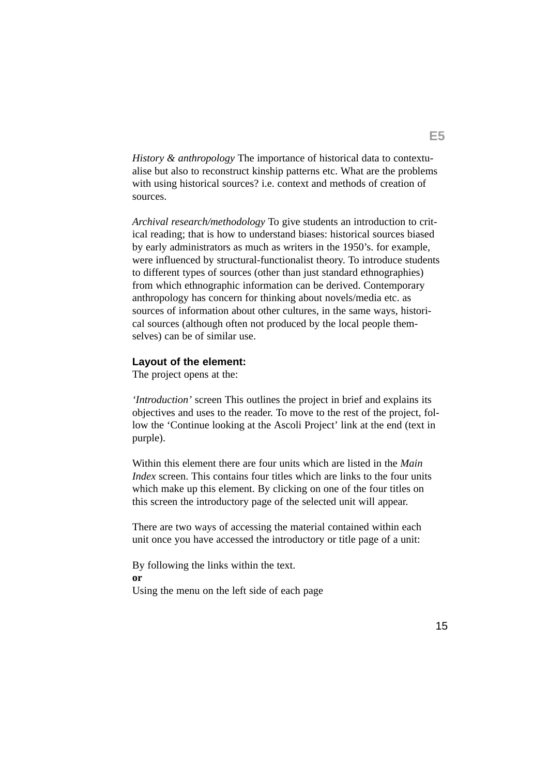*History & anthropology* The importance of historical data to contextualise but also to reconstruct kinship patterns etc. What are the problems with using historical sources? i.e. context and methods of creation of sources.

*Archival research/methodology* To give students an introduction to critical reading; that is how to understand biases: historical sources biased by early administrators as much as writers in the 1950's. for example, were influenced by structural-functionalist theory. To introduce students to different types of sources (other than just standard ethnographies) from which ethnographic information can be derived. Contemporary anthropology has concern for thinking about novels/media etc. as sources of information about other cultures, in the same ways, historical sources (although often not produced by the local people themselves) can be of similar use.

#### **Layout of the element:**

The project opens at the:

*'Introduction'* screen This outlines the project in brief and explains its objectives and uses to the reader. To move to the rest of the project, follow the 'Continue looking at the Ascoli Project' link at the end (text in purple).

Within this element there are four units which are listed in the *Main Index* screen. This contains four titles which are links to the four units which make up this element. By clicking on one of the four titles on this screen the introductory page of the selected unit will appear.

There are two ways of accessing the material contained within each unit once you have accessed the introductory or title page of a unit:

By following the links within the text. **or** Using the menu on the left side of each page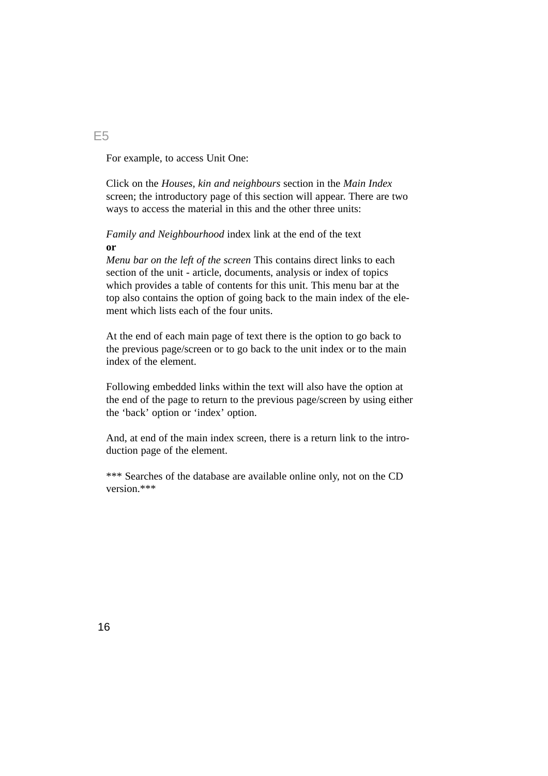For example, to access Unit One:

Click on the *Houses, kin and neighbours* section in the *Main Index* screen; the introductory page of this section will appear. There are two ways to access the material in this and the other three units:

*Family and Neighbourhood* index link at the end of the text **or**

*Menu bar on the left of the screen* This contains direct links to each section of the unit - article, documents, analysis or index of topics which provides a table of contents for this unit. This menu bar at the top also contains the option of going back to the main index of the element which lists each of the four units.

At the end of each main page of text there is the option to go back to the previous page/screen or to go back to the unit index or to the main index of the element.

Following embedded links within the text will also have the option at the end of the page to return to the previous page/screen by using either the 'back' option or 'index' option.

And, at end of the main index screen, there is a return link to the introduction page of the element.

\*\*\* Searches of the database are available online only, not on the CD version.\*\*\*

E5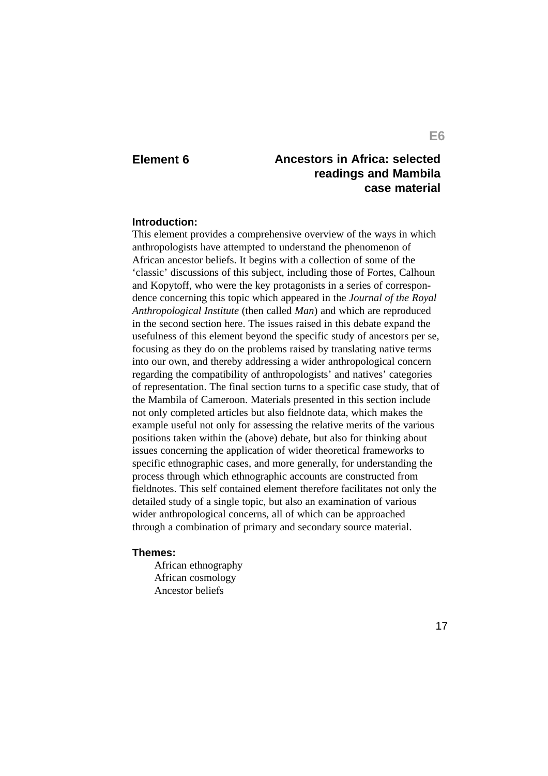# **Element 6 Ancestors in Africa: selected readings and Mambila case material**

### **Introduction:**

This element provides a comprehensive overview of the ways in which anthropologists have attempted to understand the phenomenon of African ancestor beliefs. It begins with a collection of some of the 'classic' discussions of this subject, including those of Fortes, Calhoun and Kopytoff, who were the key protagonists in a series of correspondence concerning this topic which appeared in the *Journal of the Royal Anthropological Institute* (then called *Man*) and which are reproduced in the second section here. The issues raised in this debate expand the usefulness of this element beyond the specific study of ancestors per se, focusing as they do on the problems raised by translating native terms into our own, and thereby addressing a wider anthropological concern regarding the compatibility of anthropologists' and natives' categories of representation. The final section turns to a specific case study, that of the Mambila of Cameroon. Materials presented in this section include not only completed articles but also fieldnote data, which makes the example useful not only for assessing the relative merits of the various positions taken within the (above) debate, but also for thinking about issues concerning the application of wider theoretical frameworks to specific ethnographic cases, and more generally, for understanding the process through which ethnographic accounts are constructed from fieldnotes. This self contained element therefore facilitates not only the detailed study of a single topic, but also an examination of various wider anthropological concerns, all of which can be approached through a combination of primary and secondary source material.

#### **Themes:**

African ethnography African cosmology Ancestor beliefs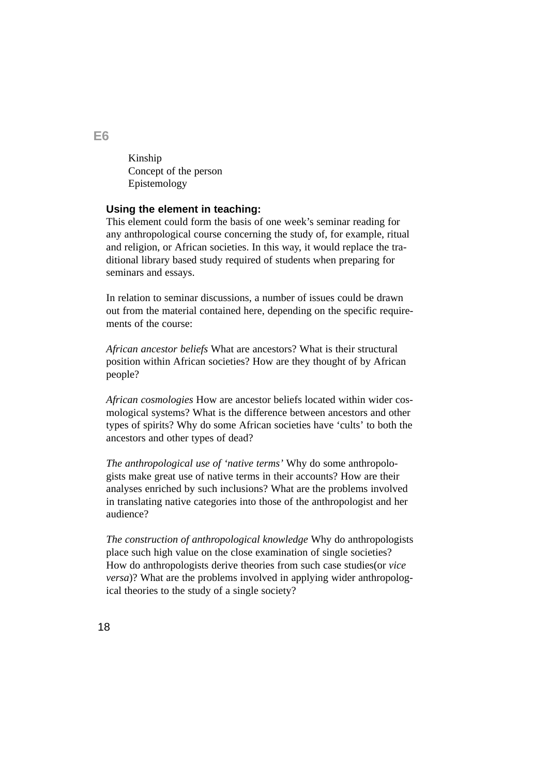Kinship Concept of the person Epistemology

### **Using the element in teaching:**

This element could form the basis of one week's seminar reading for any anthropological course concerning the study of, for example, ritual and religion, or African societies. In this way, it would replace the traditional library based study required of students when preparing for seminars and essays.

In relation to seminar discussions, a number of issues could be drawn out from the material contained here, depending on the specific requirements of the course:

*African ancestor beliefs* What are ancestors? What is their structural position within African societies? How are they thought of by African people?

*African cosmologies* How are ancestor beliefs located within wider cosmological systems? What is the difference between ancestors and other types of spirits? Why do some African societies have 'cults' to both the ancestors and other types of dead?

*The anthropological use of 'native terms'* Why do some anthropologists make great use of native terms in their accounts? How are their analyses enriched by such inclusions? What are the problems involved in translating native categories into those of the anthropologist and her audience?

*The construction of anthropological knowledge* Why do anthropologists place such high value on the close examination of single societies? How do anthropologists derive theories from such case studies(or *vice versa*)? What are the problems involved in applying wider anthropological theories to the study of a single society?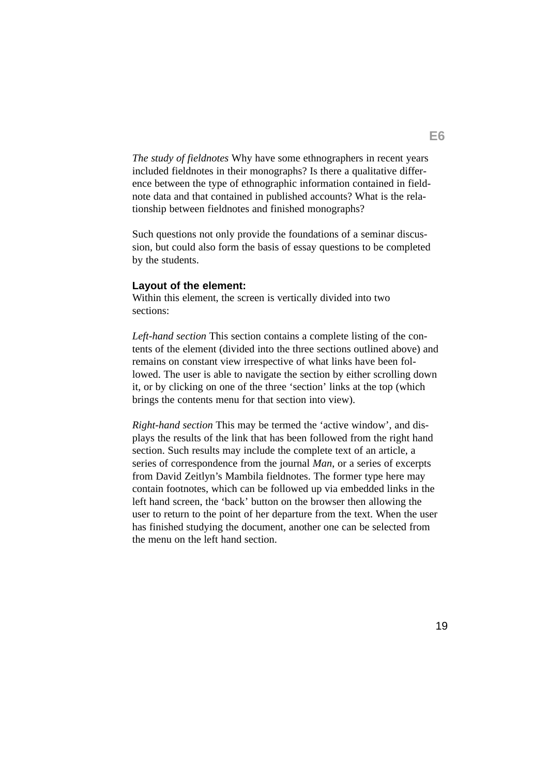*The study of fieldnotes* Why have some ethnographers in recent years included fieldnotes in their monographs? Is there a qualitative difference between the type of ethnographic information contained in fieldnote data and that contained in published accounts? What is the relationship between fieldnotes and finished monographs?

Such questions not only provide the foundations of a seminar discussion, but could also form the basis of essay questions to be completed by the students.

#### **Layout of the element:**

Within this element, the screen is vertically divided into two sections:

*Left-hand section* This section contains a complete listing of the contents of the element (divided into the three sections outlined above) and remains on constant view irrespective of what links have been followed. The user is able to navigate the section by either scrolling down it, or by clicking on one of the three 'section' links at the top (which brings the contents menu for that section into view).

*Right-hand section* This may be termed the 'active window', and displays the results of the link that has been followed from the right hand section. Such results may include the complete text of an article, a series of correspondence from the journal *Man*, or a series of excerpts from David Zeitlyn's Mambila fieldnotes. The former type here may contain footnotes, which can be followed up via embedded links in the left hand screen, the 'back' button on the browser then allowing the user to return to the point of her departure from the text. When the user has finished studying the document, another one can be selected from the menu on the left hand section.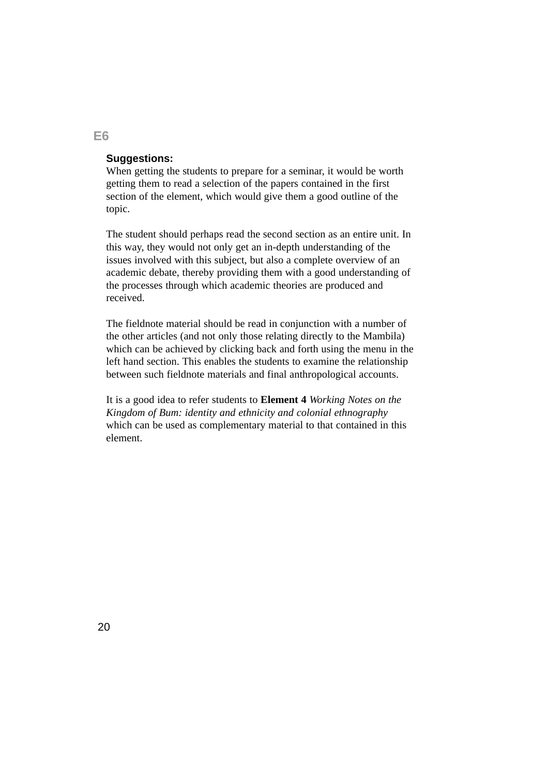### **Suggestions:**

When getting the students to prepare for a seminar, it would be worth getting them to read a selection of the papers contained in the first section of the element, which would give them a good outline of the topic.

The student should perhaps read the second section as an entire unit. In this way, they would not only get an in-depth understanding of the issues involved with this subject, but also a complete overview of an academic debate, thereby providing them with a good understanding of the processes through which academic theories are produced and received.

The fieldnote material should be read in conjunction with a number of the other articles (and not only those relating directly to the Mambila) which can be achieved by clicking back and forth using the menu in the left hand section. This enables the students to examine the relationship between such fieldnote materials and final anthropological accounts.

It is a good idea to refer students to **Element 4** *Working Notes on the Kingdom of Bum: identity and ethnicity and colonial ethnography* which can be used as complementary material to that contained in this element.

**E6**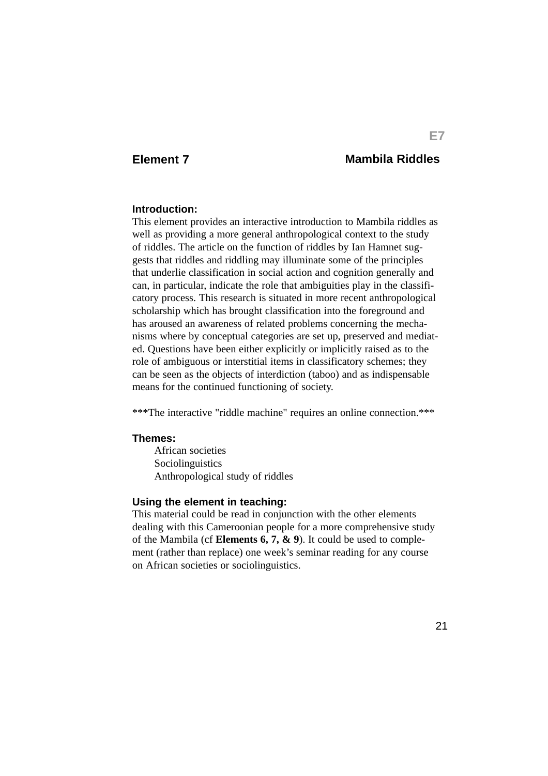# **Element 7 Mambila Riddles**

#### **Introduction:**

This element provides an interactive introduction to Mambila riddles as well as providing a more general anthropological context to the study of riddles. The article on the function of riddles by Ian Hamnet suggests that riddles and riddling may illuminate some of the principles that underlie classification in social action and cognition generally and can, in particular, indicate the role that ambiguities play in the classificatory process. This research is situated in more recent anthropological scholarship which has brought classification into the foreground and has aroused an awareness of related problems concerning the mechanisms where by conceptual categories are set up, preserved and mediated. Questions have been either explicitly or implicitly raised as to the role of ambiguous or interstitial items in classificatory schemes; they can be seen as the objects of interdiction (taboo) and as indispensable means for the continued functioning of society.

\*\*\*The interactive "riddle machine" requires an online connection.\*\*\*

#### **Themes:**

African societies Sociolinguistics Anthropological study of riddles

#### **Using the element in teaching:**

This material could be read in conjunction with the other elements dealing with this Cameroonian people for a more comprehensive study of the Mambila (cf **Elements 6, 7, & 9**). It could be used to complement (rather than replace) one week's seminar reading for any course on African societies or sociolinguistics.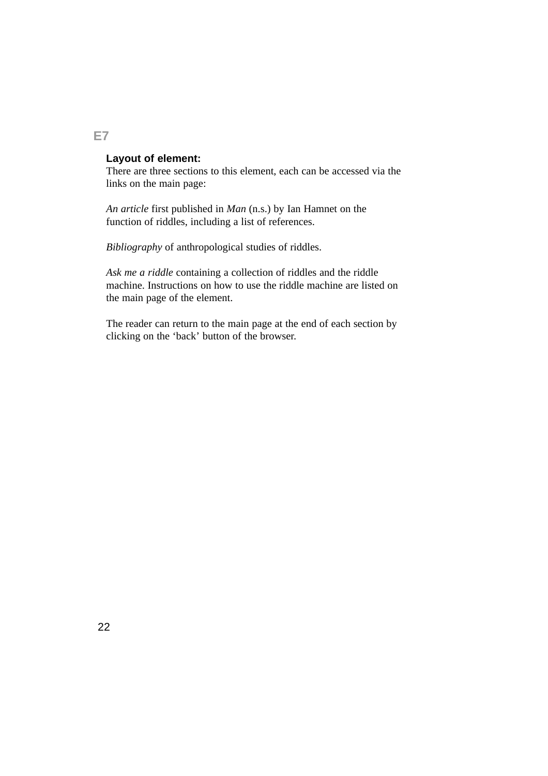## **Layout of element:**

There are three sections to this element, each can be accessed via the links on the main page:

*An article* first published in *Man* (n.s.) by Ian Hamnet on the function of riddles, including a list of references.

*Bibliography* of anthropological studies of riddles.

*Ask me a riddle* containing a collection of riddles and the riddle machine. Instructions on how to use the riddle machine are listed on the main page of the element.

The reader can return to the main page at the end of each section by clicking on the 'back' button of the browser.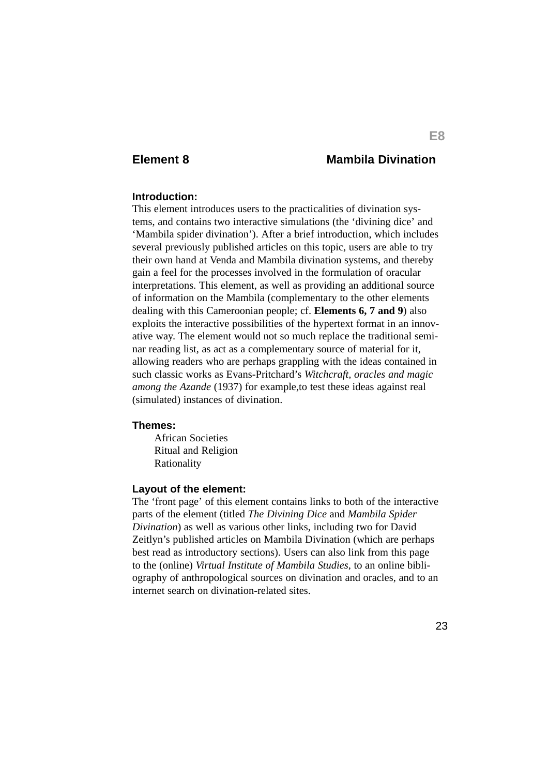# **Element 8 Mambila Divination**

#### **Introduction:**

This element introduces users to the practicalities of divination systems, and contains two interactive simulations (the 'divining dice' and 'Mambila spider divination'). After a brief introduction, which includes several previously published articles on this topic, users are able to try their own hand at Venda and Mambila divination systems, and thereby gain a feel for the processes involved in the formulation of oracular interpretations. This element, as well as providing an additional source of information on the Mambila (complementary to the other elements dealing with this Cameroonian people; cf. **Elements 6, 7 and 9**) also exploits the interactive possibilities of the hypertext format in an innovative way. The element would not so much replace the traditional seminar reading list, as act as a complementary source of material for it, allowing readers who are perhaps grappling with the ideas contained in such classic works as Evans-Pritchard's *Witchcraft, oracles and magic among the Azande* (1937) for example,to test these ideas against real (simulated) instances of divination.

#### **Themes:**

African Societies Ritual and Religion Rationality

#### **Layout of the element:**

The 'front page' of this element contains links to both of the interactive parts of the element (titled *The Divining Dice* and *Mambila Spider Divination*) as well as various other links, including two for David Zeitlyn's published articles on Mambila Divination (which are perhaps best read as introductory sections). Users can also link from this page to the (online) *Virtual Institute of Mambila Studies*, to an online bibliography of anthropological sources on divination and oracles, and to an internet search on divination-related sites.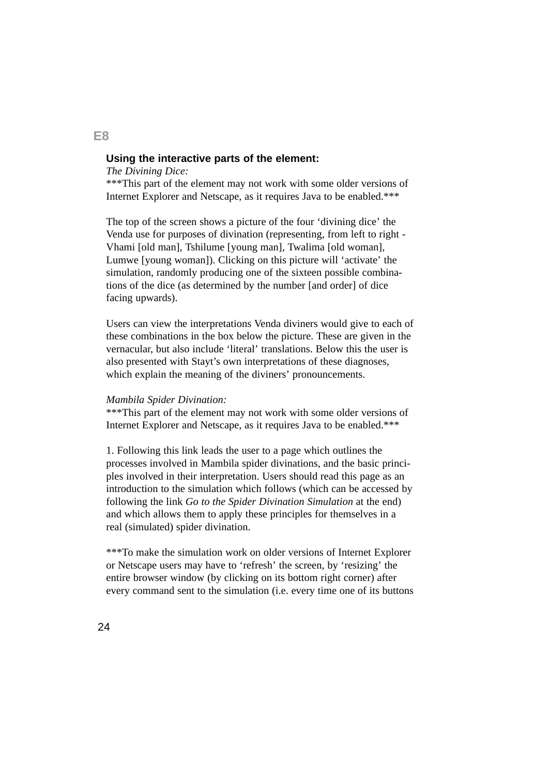### **Using the interactive parts of the element:**

*The Divining Dice:*

\*\*\*This part of the element may not work with some older versions of Internet Explorer and Netscape, as it requires Java to be enabled.\*\*\*

The top of the screen shows a picture of the four 'divining dice' the Venda use for purposes of divination (representing, from left to right - Vhami [old man], Tshilume [young man], Twalima [old woman], Lumwe [young woman]). Clicking on this picture will 'activate' the simulation, randomly producing one of the sixteen possible combinations of the dice (as determined by the number [and order] of dice facing upwards).

Users can view the interpretations Venda diviners would give to each of these combinations in the box below the picture. These are given in the vernacular, but also include 'literal' translations. Below this the user is also presented with Stayt's own interpretations of these diagnoses, which explain the meaning of the diviners' pronouncements.

#### *Mambila Spider Divination:*

\*\*\*This part of the element may not work with some older versions of Internet Explorer and Netscape, as it requires Java to be enabled.\*\*\*

1. Following this link leads the user to a page which outlines the processes involved in Mambila spider divinations, and the basic principles involved in their interpretation. Users should read this page as an introduction to the simulation which follows (which can be accessed by following the link *Go to the Spider Divination Simulation* at the end) and which allows them to apply these principles for themselves in a real (simulated) spider divination.

\*\*\*To make the simulation work on older versions of Internet Explorer or Netscape users may have to 'refresh' the screen, by 'resizing' the entire browser window (by clicking on its bottom right corner) after every command sent to the simulation (i.e. every time one of its buttons

**E8**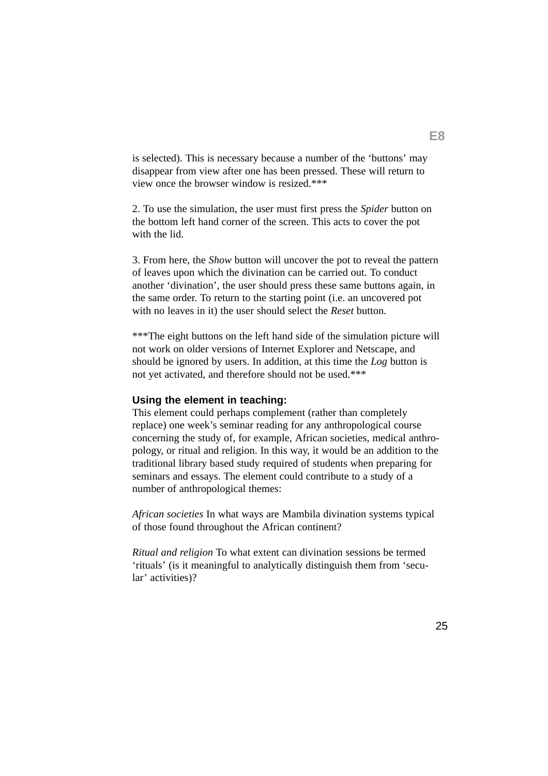is selected). This is necessary because a number of the 'buttons' may disappear from view after one has been pressed. These will return to view once the browser window is resized.\*\*\*

2. To use the simulation, the user must first press the *Spider* button on the bottom left hand corner of the screen. This acts to cover the pot with the lid.

3. From here, the *Show* button will uncover the pot to reveal the pattern of leaves upon which the divination can be carried out. To conduct another 'divination', the user should press these same buttons again, in the same order. To return to the starting point (i.e. an uncovered pot with no leaves in it) the user should select the *Reset* button.

\*\*\*The eight buttons on the left hand side of the simulation picture will not work on older versions of Internet Explorer and Netscape, and should be ignored by users. In addition, at this time the *Log* button is not yet activated, and therefore should not be used.\*\*\*

#### **Using the element in teaching:**

This element could perhaps complement (rather than completely replace) one week's seminar reading for any anthropological course concerning the study of, for example, African societies, medical anthropology, or ritual and religion. In this way, it would be an addition to the traditional library based study required of students when preparing for seminars and essays. The element could contribute to a study of a number of anthropological themes:

*African societies* In what ways are Mambila divination systems typical of those found throughout the African continent?

*Ritual and religion* To what extent can divination sessions be termed 'rituals' (is it meaningful to analytically distinguish them from 'secular' activities)?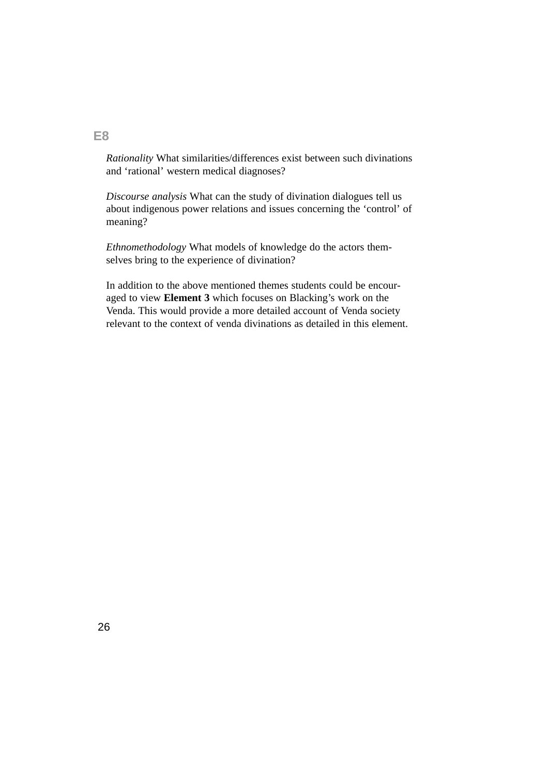*Rationality* What similarities/differences exist between such divinations and 'rational' western medical diagnoses?

*Discourse analysis* What can the study of divination dialogues tell us about indigenous power relations and issues concerning the 'control' of meaning?

*Ethnomethodology* What models of knowledge do the actors themselves bring to the experience of divination?

In addition to the above mentioned themes students could be encouraged to view **Element 3** which focuses on Blacking's work on the Venda. This would provide a more detailed account of Venda society relevant to the context of venda divinations as detailed in this element.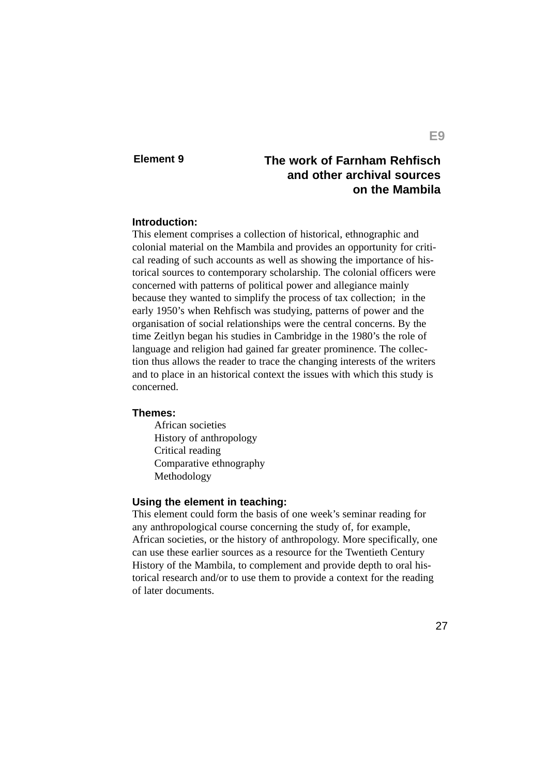# **Element 9 The work of Farnham Rehfisch and other archival sources on the Mambila**

### **Introduction:**

This element comprises a collection of historical, ethnographic and colonial material on the Mambila and provides an opportunity for critical reading of such accounts as well as showing the importance of historical sources to contemporary scholarship. The colonial officers were concerned with patterns of political power and allegiance mainly because they wanted to simplify the process of tax collection; in the early 1950's when Rehfisch was studying, patterns of power and the organisation of social relationships were the central concerns. By the time Zeitlyn began his studies in Cambridge in the 1980's the role of language and religion had gained far greater prominence. The collection thus allows the reader to trace the changing interests of the writers and to place in an historical context the issues with which this study is concerned.

#### **Themes:**

African societies History of anthropology Critical reading Comparative ethnography Methodology

### **Using the element in teaching:**

This element could form the basis of one week's seminar reading for any anthropological course concerning the study of, for example, African societies, or the history of anthropology. More specifically, one can use these earlier sources as a resource for the Twentieth Century History of the Mambila, to complement and provide depth to oral historical research and/or to use them to provide a context for the reading of later documents.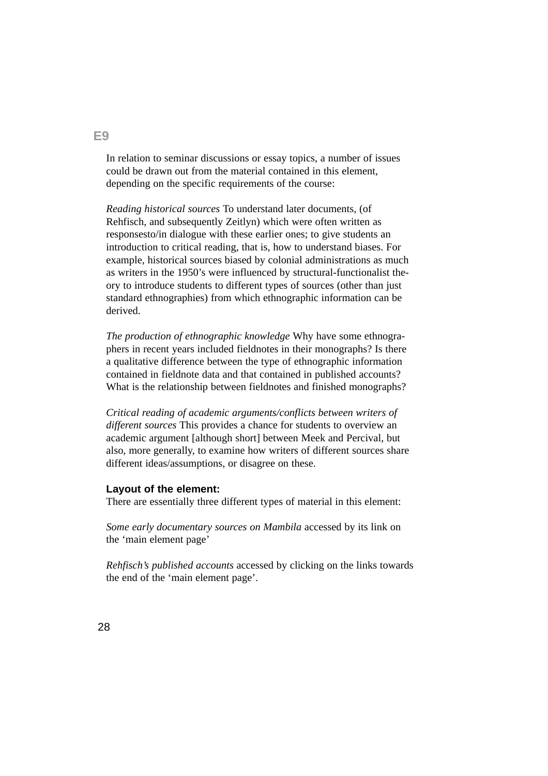In relation to seminar discussions or essay topics, a number of issues could be drawn out from the material contained in this element, depending on the specific requirements of the course:

*Reading historical sources* To understand later documents, (of Rehfisch, and subsequently Zeitlyn) which were often written as responsesto/in dialogue with these earlier ones; to give students an introduction to critical reading, that is, how to understand biases. For example, historical sources biased by colonial administrations as much as writers in the 1950's were influenced by structural-functionalist theory to introduce students to different types of sources (other than just standard ethnographies) from which ethnographic information can be derived.

*The production of ethnographic knowledge* Why have some ethnographers in recent years included fieldnotes in their monographs? Is there a qualitative difference between the type of ethnographic information contained in fieldnote data and that contained in published accounts? What is the relationship between fieldnotes and finished monographs?

*Critical reading of academic arguments/conflicts between writers of different sources* This provides a chance for students to overview an academic argument [although short] between Meek and Percival, but also, more generally, to examine how writers of different sources share different ideas/assumptions, or disagree on these.

### **Layout of the element:**

There are essentially three different types of material in this element:

*Some early documentary sources on Mambila* accessed by its link on the 'main element page'

*Rehfisch's published accounts* accessed by clicking on the links towards the end of the 'main element page'.

**E9**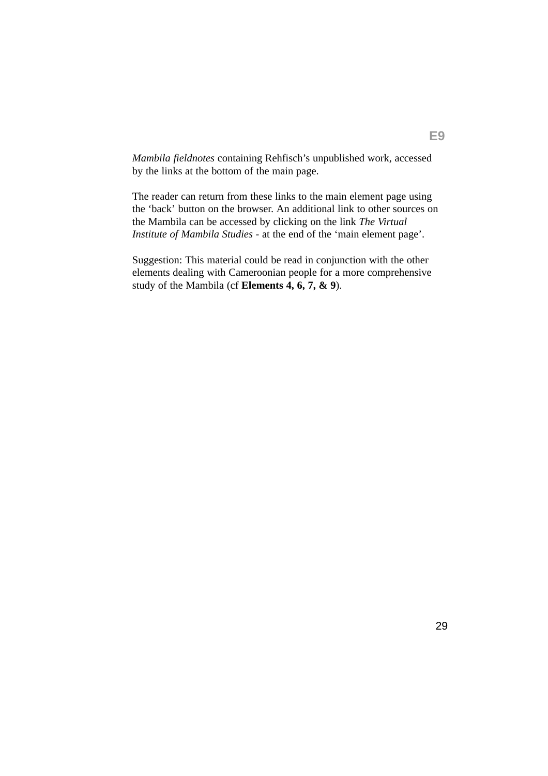*Mambila fieldnotes* containing Rehfisch's unpublished work, accessed by the links at the bottom of the main page.

The reader can return from these links to the main element page using the 'back' button on the browser. An additional link to other sources on the Mambila can be accessed by clicking on the link *The Virtual Institute of Mambila Studies* - at the end of the 'main element page'.

Suggestion: This material could be read in conjunction with the other elements dealing with Cameroonian people for a more comprehensive study of the Mambila (cf **Elements 4, 6, 7, & 9**).

**E9**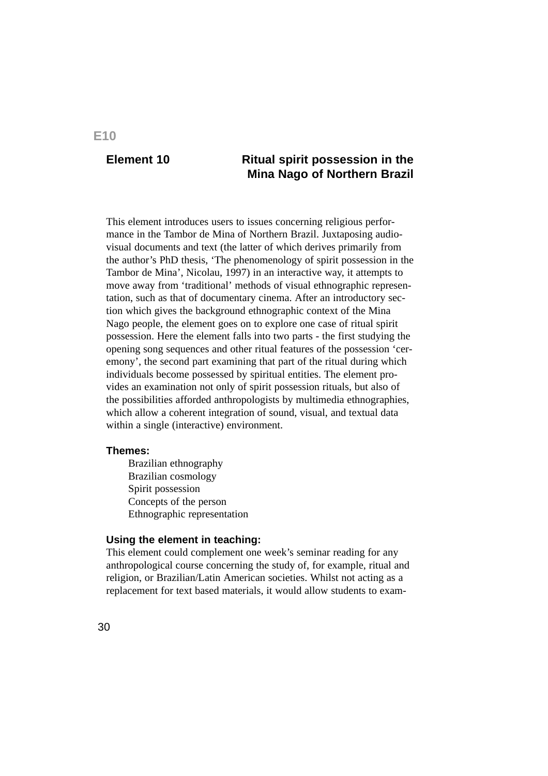# **Element 10**

# **Ritual spirit possession in the Mina Nago of Northern Brazil**

This element introduces users to issues concerning religious performance in the Tambor de Mina of Northern Brazil. Juxtaposing audiovisual documents and text (the latter of which derives primarily from the author's PhD thesis, 'The phenomenology of spirit possession in the Tambor de Mina', Nicolau, 1997) in an interactive way, it attempts to move away from 'traditional' methods of visual ethnographic representation, such as that of documentary cinema. After an introductory section which gives the background ethnographic context of the Mina Nago people, the element goes on to explore one case of ritual spirit possession. Here the element falls into two parts - the first studying the opening song sequences and other ritual features of the possession 'ceremony', the second part examining that part of the ritual during which individuals become possessed by spiritual entities. The element provides an examination not only of spirit possession rituals, but also of the possibilities afforded anthropologists by multimedia ethnographies, which allow a coherent integration of sound, visual, and textual data within a single (interactive) environment.

#### **Themes:**

Brazilian ethnography Brazilian cosmology Spirit possession Concepts of the person Ethnographic representation

### **Using the element in teaching:**

This element could complement one week's seminar reading for any anthropological course concerning the study of, for example, ritual and religion, or Brazilian/Latin American societies. Whilst not acting as a replacement for text based materials, it would allow students to exam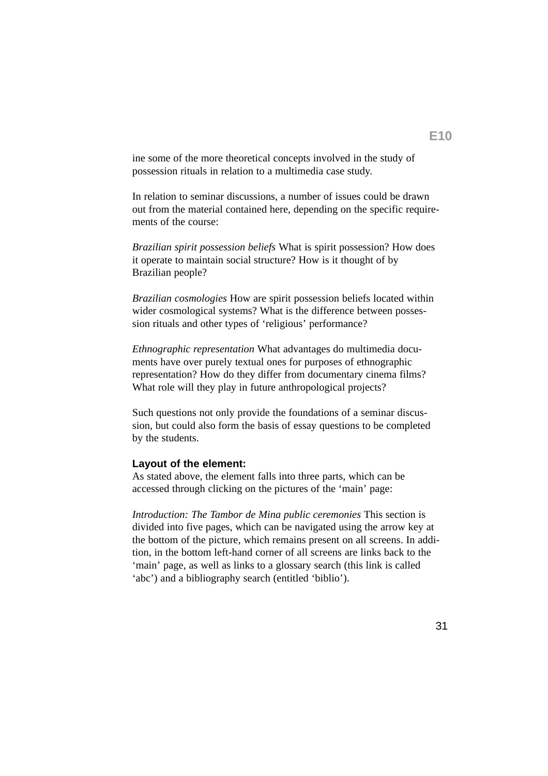ine some of the more theoretical concepts involved in the study of possession rituals in relation to a multimedia case study.

In relation to seminar discussions, a number of issues could be drawn out from the material contained here, depending on the specific requirements of the course:

*Brazilian spirit possession beliefs* What is spirit possession? How does it operate to maintain social structure? How is it thought of by Brazilian people?

*Brazilian cosmologies* How are spirit possession beliefs located within wider cosmological systems? What is the difference between possession rituals and other types of 'religious' performance?

*Ethnographic representation* What advantages do multimedia documents have over purely textual ones for purposes of ethnographic representation? How do they differ from documentary cinema films? What role will they play in future anthropological projects?

Such questions not only provide the foundations of a seminar discussion, but could also form the basis of essay questions to be completed by the students.

#### **Layout of the element:**

As stated above, the element falls into three parts, which can be accessed through clicking on the pictures of the 'main' page:

*Introduction: The Tambor de Mina public ceremonies* This section is divided into five pages, which can be navigated using the arrow key at the bottom of the picture, which remains present on all screens. In addition, in the bottom left-hand corner of all screens are links back to the 'main' page, as well as links to a glossary search (this link is called 'abc') and a bibliography search (entitled 'biblio').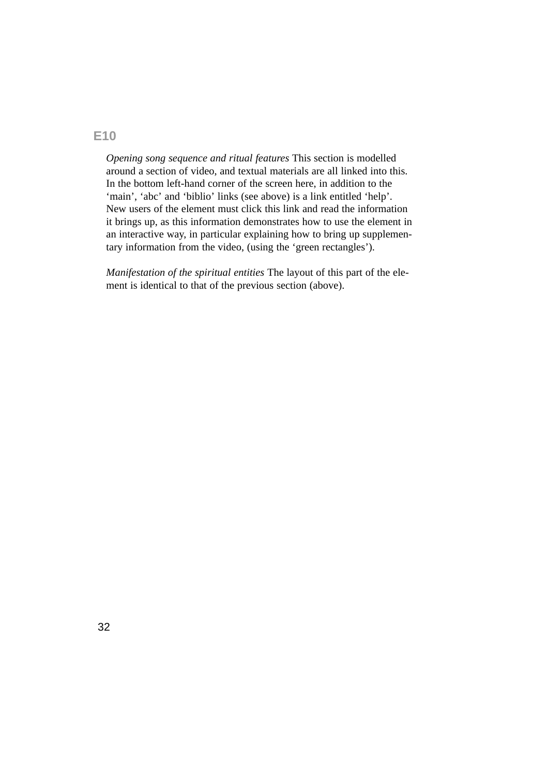*Opening song sequence and ritual features* This section is modelled around a section of video, and textual materials are all linked into this. In the bottom left-hand corner of the screen here, in addition to the 'main', 'abc' and 'biblio' links (see above) is a link entitled 'help'. New users of the element must click this link and read the information it brings up, as this information demonstrates how to use the element in an interactive way, in particular explaining how to bring up supplementary information from the video, (using the 'green rectangles').

*Manifestation of the spiritual entities* The layout of this part of the element is identical to that of the previous section (above).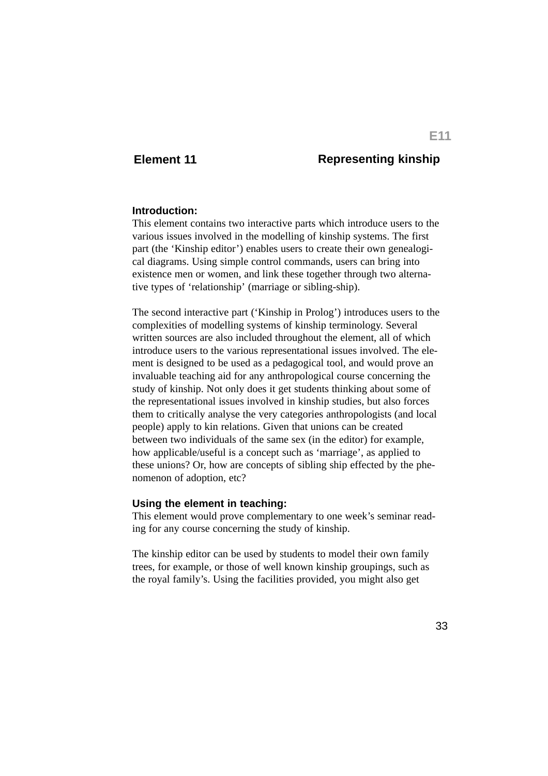## **Element 11 Representing kinship**

#### **Introduction:**

This element contains two interactive parts which introduce users to the various issues involved in the modelling of kinship systems. The first part (the 'Kinship editor') enables users to create their own genealogical diagrams. Using simple control commands, users can bring into existence men or women, and link these together through two alternative types of 'relationship' (marriage or sibling-ship).

The second interactive part ('Kinship in Prolog') introduces users to the complexities of modelling systems of kinship terminology. Several written sources are also included throughout the element, all of which introduce users to the various representational issues involved. The element is designed to be used as a pedagogical tool, and would prove an invaluable teaching aid for any anthropological course concerning the study of kinship. Not only does it get students thinking about some of the representational issues involved in kinship studies, but also forces them to critically analyse the very categories anthropologists (and local people) apply to kin relations. Given that unions can be created between two individuals of the same sex (in the editor) for example, how applicable/useful is a concept such as 'marriage', as applied to these unions? Or, how are concepts of sibling ship effected by the phenomenon of adoption, etc?

#### **Using the element in teaching:**

This element would prove complementary to one week's seminar reading for any course concerning the study of kinship.

The kinship editor can be used by students to model their own family trees, for example, or those of well known kinship groupings, such as the royal family's. Using the facilities provided, you might also get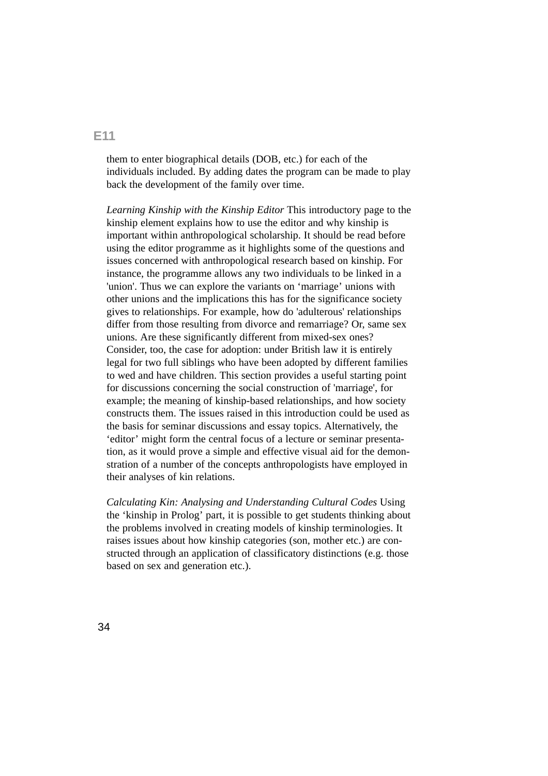them to enter biographical details (DOB, etc.) for each of the individuals included. By adding dates the program can be made to play back the development of the family over time.

*Learning Kinship with the Kinship Editor* This introductory page to the kinship element explains how to use the editor and why kinship is important within anthropological scholarship. It should be read before using the editor programme as it highlights some of the questions and issues concerned with anthropological research based on kinship. For instance, the programme allows any two individuals to be linked in a 'union'. Thus we can explore the variants on 'marriage' unions with other unions and the implications this has for the significance society gives to relationships. For example, how do 'adulterous' relationships differ from those resulting from divorce and remarriage? Or, same sex unions. Are these significantly different from mixed-sex ones? Consider, too, the case for adoption: under British law it is entirely legal for two full siblings who have been adopted by different families to wed and have children. This section provides a useful starting point for discussions concerning the social construction of 'marriage', for example; the meaning of kinship-based relationships, and how society constructs them. The issues raised in this introduction could be used as the basis for seminar discussions and essay topics. Alternatively, the 'editor' might form the central focus of a lecture or seminar presentation, as it would prove a simple and effective visual aid for the demonstration of a number of the concepts anthropologists have employed in their analyses of kin relations.

*Calculating Kin: Analysing and Understanding Cultural Codes* Using the 'kinship in Prolog' part, it is possible to get students thinking about the problems involved in creating models of kinship terminologies. It raises issues about how kinship categories (son, mother etc.) are constructed through an application of classificatory distinctions (e.g. those based on sex and generation etc.).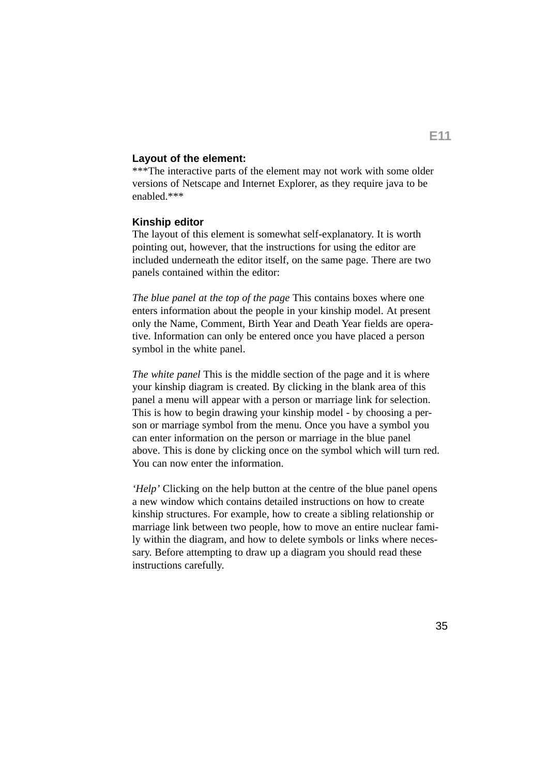### **Layout of the element:**

\*\*\*The interactive parts of the element may not work with some older versions of Netscape and Internet Explorer, as they require java to be enabled.\*\*\*

#### **Kinship editor**

The layout of this element is somewhat self-explanatory. It is worth pointing out, however, that the instructions for using the editor are included underneath the editor itself, on the same page. There are two panels contained within the editor:

*The blue panel at the top of the page* This contains boxes where one enters information about the people in your kinship model. At present only the Name, Comment, Birth Year and Death Year fields are operative. Information can only be entered once you have placed a person symbol in the white panel.

*The white panel* This is the middle section of the page and it is where your kinship diagram is created. By clicking in the blank area of this panel a menu will appear with a person or marriage link for selection. This is how to begin drawing your kinship model - by choosing a person or marriage symbol from the menu. Once you have a symbol you can enter information on the person or marriage in the blue panel above. This is done by clicking once on the symbol which will turn red. You can now enter the information.

*'Help'* Clicking on the help button at the centre of the blue panel opens a new window which contains detailed instructions on how to create kinship structures. For example, how to create a sibling relationship or marriage link between two people, how to move an entire nuclear family within the diagram, and how to delete symbols or links where necessary. Before attempting to draw up a diagram you should read these instructions carefully.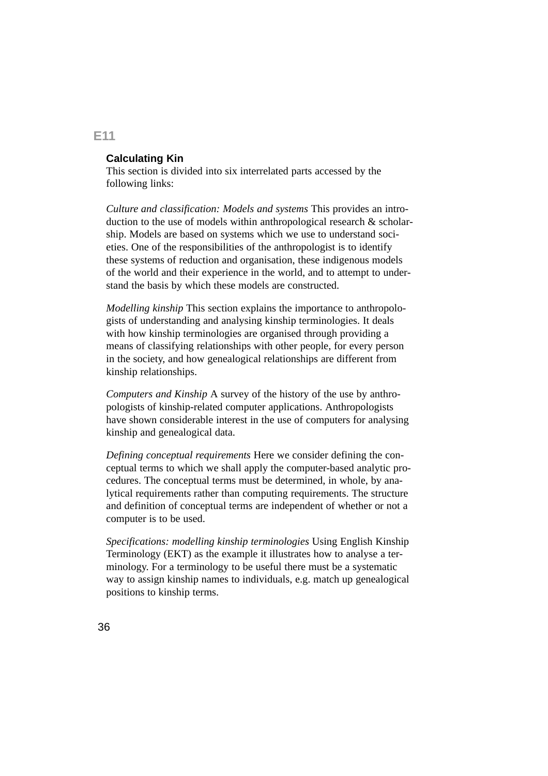# **Calculating Kin**

This section is divided into six interrelated parts accessed by the following links:

*Culture and classification: Models and systems* This provides an introduction to the use of models within anthropological research & scholarship. Models are based on systems which we use to understand societies. One of the responsibilities of the anthropologist is to identify these systems of reduction and organisation, these indigenous models of the world and their experience in the world, and to attempt to understand the basis by which these models are constructed.

*Modelling kinship* This section explains the importance to anthropologists of understanding and analysing kinship terminologies. It deals with how kinship terminologies are organised through providing a means of classifying relationships with other people, for every person in the society, and how genealogical relationships are different from kinship relationships.

*Computers and Kinship* A survey of the history of the use by anthropologists of kinship-related computer applications. Anthropologists have shown considerable interest in the use of computers for analysing kinship and genealogical data.

*Defining conceptual requirements* Here we consider defining the conceptual terms to which we shall apply the computer-based analytic procedures. The conceptual terms must be determined, in whole, by analytical requirements rather than computing requirements. The structure and definition of conceptual terms are independent of whether or not a computer is to be used.

*Specifications: modelling kinship terminologies* Using English Kinship Terminology (EKT) as the example it illustrates how to analyse a terminology. For a terminology to be useful there must be a systematic way to assign kinship names to individuals, e.g. match up genealogical positions to kinship terms.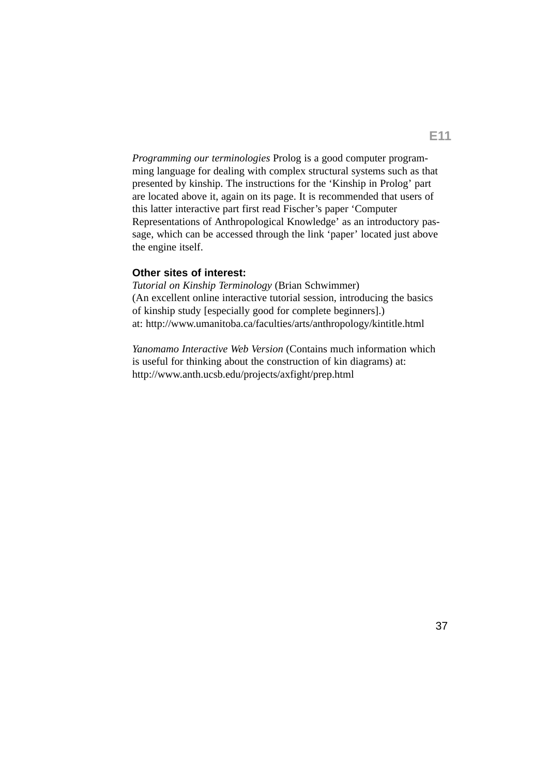*Programming our terminologies* Prolog is a good computer programming language for dealing with complex structural systems such as that presented by kinship. The instructions for the 'Kinship in Prolog' part are located above it, again on its page. It is recommended that users of this latter interactive part first read Fischer's paper 'Computer Representations of Anthropological Knowledge' as an introductory passage, which can be accessed through the link 'paper' located just above the engine itself.

## **Other sites of interest:**

*Tutorial on Kinship Terminology* (Brian Schwimmer) (An excellent online interactive tutorial session, introducing the basics of kinship study [especially good for complete beginners].) at: http://www.umanitoba.ca/faculties/arts/anthropology/kintitle.html

*Yanomamo Interactive Web Version* (Contains much information which is useful for thinking about the construction of kin diagrams) at: http://www.anth.ucsb.edu/projects/axfight/prep.html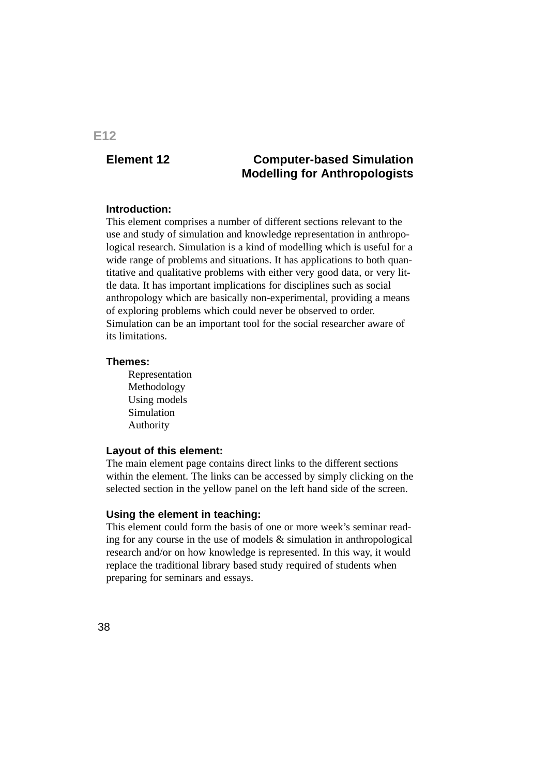# **Element 12 Computer-based Simulation Modelling for Anthropologists**

#### **Introduction:**

This element comprises a number of different sections relevant to the use and study of simulation and knowledge representation in anthropological research. Simulation is a kind of modelling which is useful for a wide range of problems and situations. It has applications to both quantitative and qualitative problems with either very good data, or very little data. It has important implications for disciplines such as social anthropology which are basically non-experimental, providing a means of exploring problems which could never be observed to order. Simulation can be an important tool for the social researcher aware of its limitations.

#### **Themes:**

Representation Methodology Using models Simulation Authority

#### **Layout of this element:**

The main element page contains direct links to the different sections within the element. The links can be accessed by simply clicking on the selected section in the yellow panel on the left hand side of the screen.

#### **Using the element in teaching:**

This element could form the basis of one or more week's seminar reading for any course in the use of models  $\&$  simulation in anthropological research and/or on how knowledge is represented. In this way, it would replace the traditional library based study required of students when preparing for seminars and essays.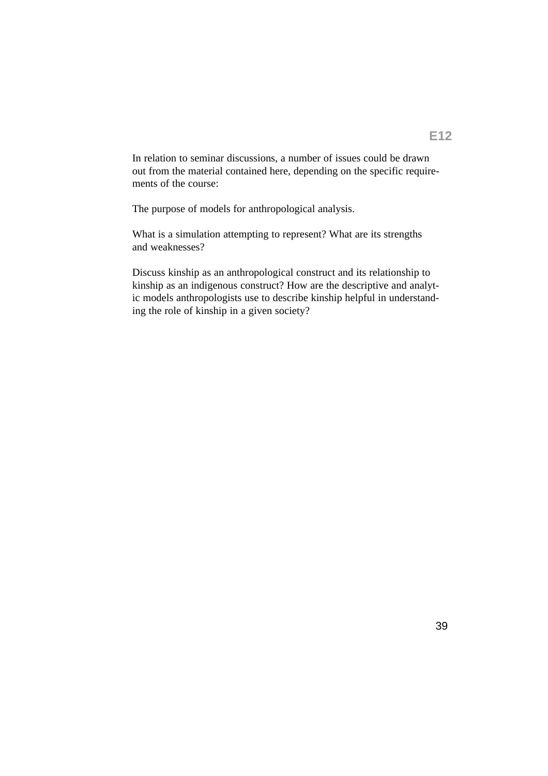In relation to seminar discussions, a number of issues could be drawn out from the material contained here, depending on the specific requirements of the course:

The purpose of models for anthropological analysis.

What is a simulation attempting to represent? What are its strengths and weaknesses?

Discuss kinship as an anthropological construct and its relationship to kinship as an indigenous construct? How are the descriptive and analytic models anthropologists use to describe kinship helpful in understanding the role of kinship in a given society?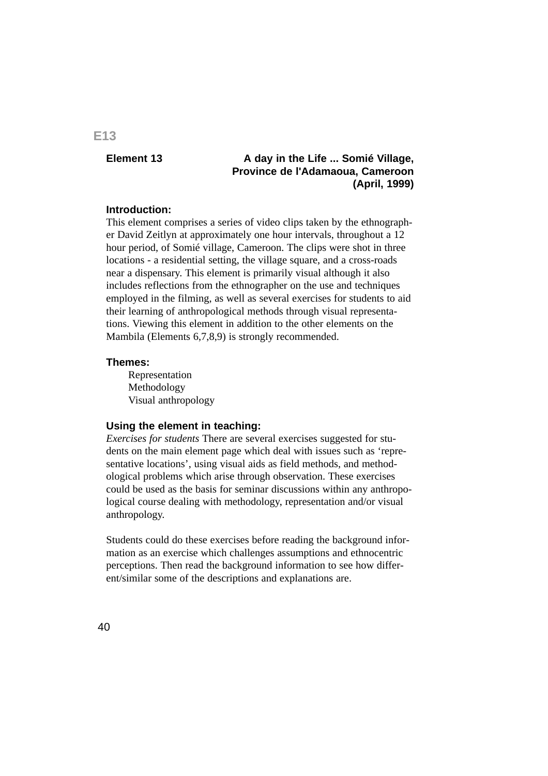## **Element 13 A day in the Life ... Somié Village, Province de l'Adamaoua, Cameroon (April, 1999)**

#### **Introduction:**

This element comprises a series of video clips taken by the ethnographer David Zeitlyn at approximately one hour intervals, throughout a 12 hour period, of Somié village, Cameroon. The clips were shot in three locations - a residential setting, the village square, and a cross-roads near a dispensary. This element is primarily visual although it also includes reflections from the ethnographer on the use and techniques employed in the filming, as well as several exercises for students to aid their learning of anthropological methods through visual representations. Viewing this element in addition to the other elements on the Mambila (Elements 6,7,8,9) is strongly recommended.

#### **Themes:**

Representation Methodology Visual anthropology

#### **Using the element in teaching:**

*Exercises for students* There are several exercises suggested for students on the main element page which deal with issues such as 'representative locations', using visual aids as field methods, and methodological problems which arise through observation. These exercises could be used as the basis for seminar discussions within any anthropological course dealing with methodology, representation and/or visual anthropology.

Students could do these exercises before reading the background information as an exercise which challenges assumptions and ethnocentric perceptions. Then read the background information to see how different/similar some of the descriptions and explanations are.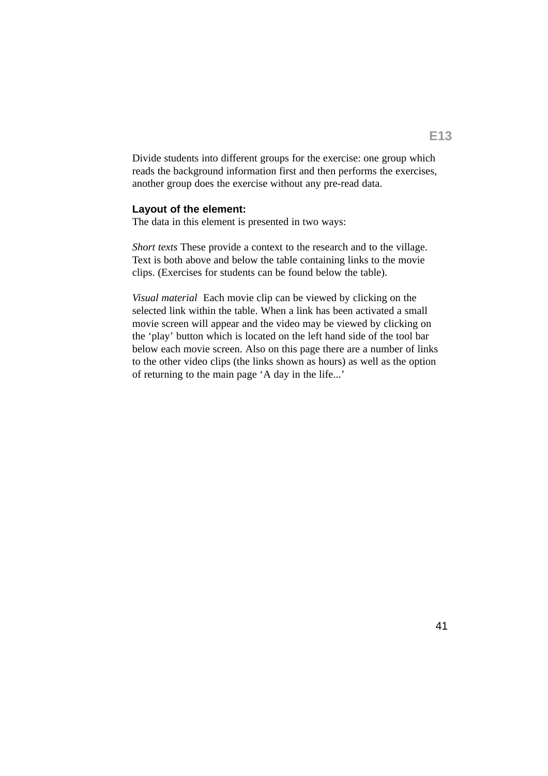Divide students into different groups for the exercise: one group which reads the background information first and then performs the exercises, another group does the exercise without any pre-read data.

#### **Layout of the element:**

The data in this element is presented in two ways:

*Short texts* These provide a context to the research and to the village. Text is both above and below the table containing links to the movie clips. (Exercises for students can be found below the table).

*Visual material* Each movie clip can be viewed by clicking on the selected link within the table. When a link has been activated a small movie screen will appear and the video may be viewed by clicking on the 'play' button which is located on the left hand side of the tool bar below each movie screen. Also on this page there are a number of links to the other video clips (the links shown as hours) as well as the option of returning to the main page 'A day in the life...'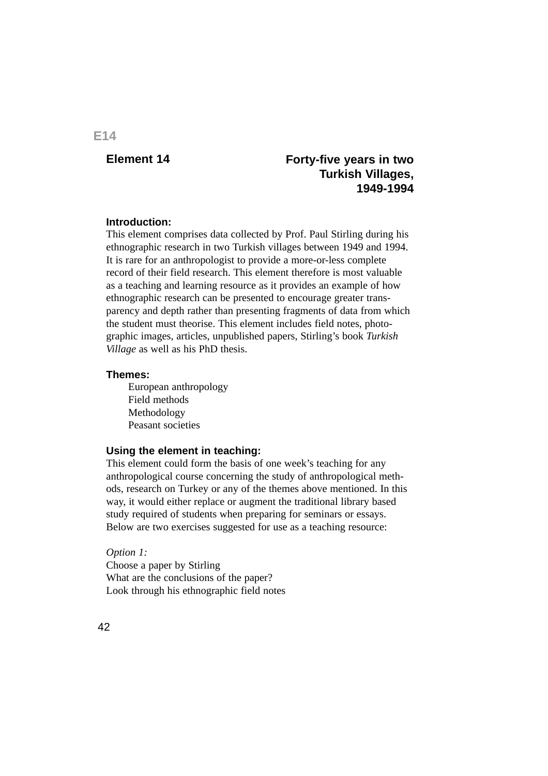# **Element 14 Forty-five years in two Turkish Villages, 1949-1994**

#### **Introduction:**

This element comprises data collected by Prof. Paul Stirling during his ethnographic research in two Turkish villages between 1949 and 1994. It is rare for an anthropologist to provide a more-or-less complete record of their field research. This element therefore is most valuable as a teaching and learning resource as it provides an example of how ethnographic research can be presented to encourage greater transparency and depth rather than presenting fragments of data from which the student must theorise. This element includes field notes, photographic images, articles, unpublished papers, Stirling's book *Turkish Village* as well as his PhD thesis.

#### **Themes:**

European anthropology Field methods Methodology Peasant societies

### **Using the element in teaching:**

This element could form the basis of one week's teaching for any anthropological course concerning the study of anthropological methods, research on Turkey or any of the themes above mentioned. In this way, it would either replace or augment the traditional library based study required of students when preparing for seminars or essays. Below are two exercises suggested for use as a teaching resource:

*Option 1:* Choose a paper by Stirling What are the conclusions of the paper? Look through his ethnographic field notes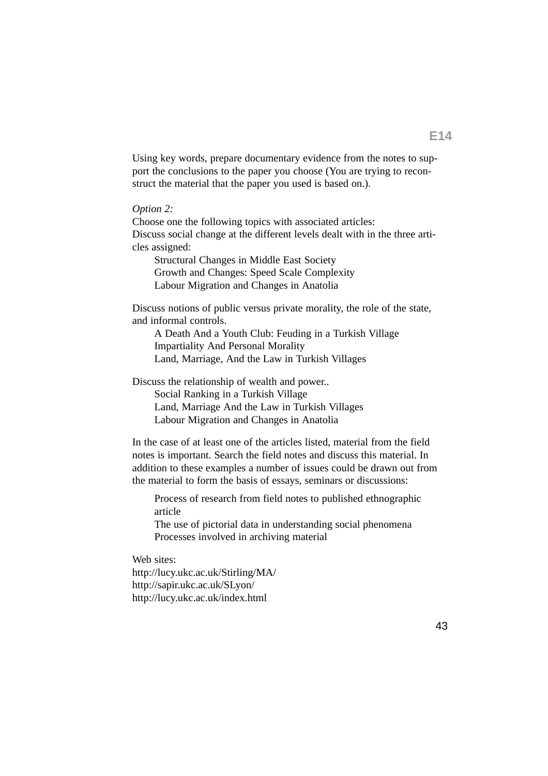Using key words, prepare documentary evidence from the notes to support the conclusions to the paper you choose (You are trying to reconstruct the material that the paper you used is based on.).

#### *Option 2:*

Choose one the following topics with associated articles: Discuss social change at the different levels dealt with in the three articles assigned:

Structural Changes in Middle East Society Growth and Changes: Speed Scale Complexity Labour Migration and Changes in Anatolia

Discuss notions of public versus private morality, the role of the state, and informal controls.

A Death And a Youth Club: Feuding in a Turkish Village Impartiality And Personal Morality Land, Marriage, And the Law in Turkish Villages

Discuss the relationship of wealth and power..

Social Ranking in a Turkish Village Land, Marriage And the Law in Turkish Villages Labour Migration and Changes in Anatolia

In the case of at least one of the articles listed, material from the field notes is important. Search the field notes and discuss this material. In addition to these examples a number of issues could be drawn out from the material to form the basis of essays, seminars or discussions:

Process of research from field notes to published ethnographic article

The use of pictorial data in understanding social phenomena Processes involved in archiving material

Web sites:

http://lucy.ukc.ac.uk/Stirling/MA/ http://sapir.ukc.ac.uk/SLyon/ http://lucy.ukc.ac.uk/index.html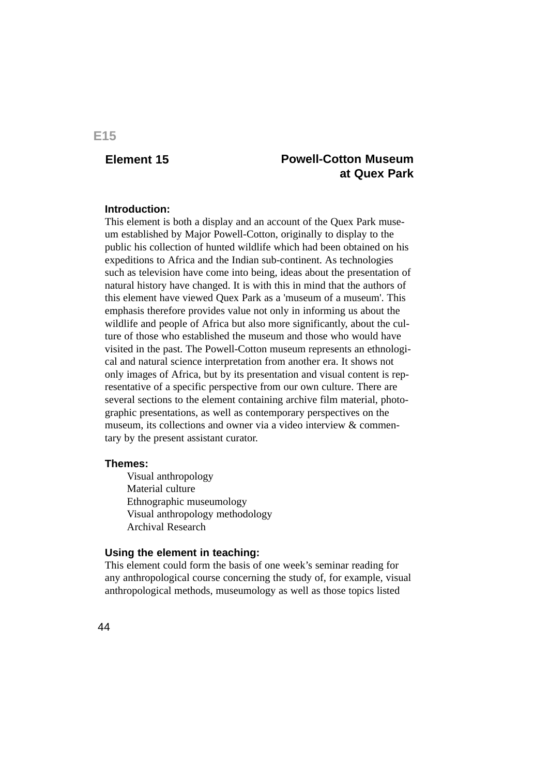# **Element 15 Powell-Cotton Museum at Quex Park**

#### **Introduction:**

This element is both a display and an account of the Quex Park museum established by Major Powell-Cotton, originally to display to the public his collection of hunted wildlife which had been obtained on his expeditions to Africa and the Indian sub-continent. As technologies such as television have come into being, ideas about the presentation of natural history have changed. It is with this in mind that the authors of this element have viewed Quex Park as a 'museum of a museum'. This emphasis therefore provides value not only in informing us about the wildlife and people of Africa but also more significantly, about the culture of those who established the museum and those who would have visited in the past. The Powell-Cotton museum represents an ethnological and natural science interpretation from another era. It shows not only images of Africa, but by its presentation and visual content is representative of a specific perspective from our own culture. There are several sections to the element containing archive film material, photographic presentations, as well as contemporary perspectives on the museum, its collections and owner via a video interview & commentary by the present assistant curator.

#### **Themes:**

Visual anthropology Material culture Ethnographic museumology Visual anthropology methodology Archival Research

#### **Using the element in teaching:**

This element could form the basis of one week's seminar reading for any anthropological course concerning the study of, for example, visual anthropological methods, museumology as well as those topics listed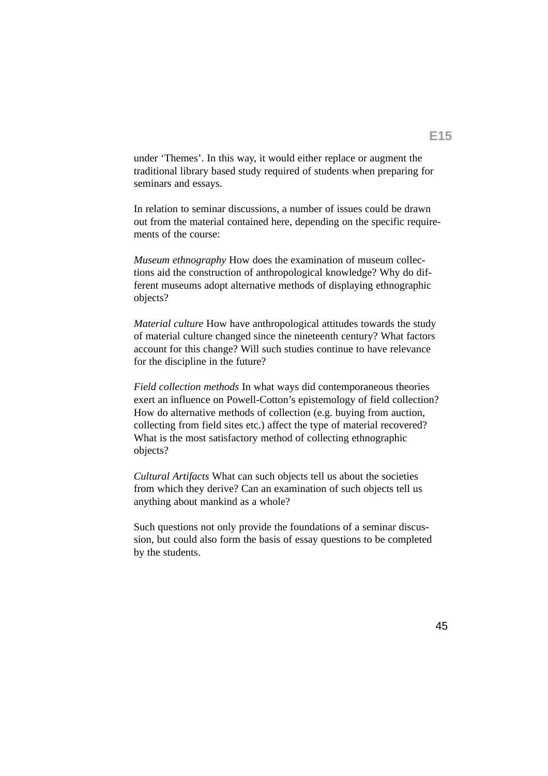under 'Themes'. In this way, it would either replace or augment the traditional library based study required of students when preparing for seminars and essays.

In relation to seminar discussions, a number of issues could be drawn out from the material contained here, depending on the specific requirements of the course:

*Museum ethnography* How does the examination of museum collections aid the construction of anthropological knowledge? Why do different museums adopt alternative methods of displaying ethnographic objects?

*Material culture* How have anthropological attitudes towards the study of material culture changed since the nineteenth century? What factors account for this change? Will such studies continue to have relevance for the discipline in the future?

*Field collection methods* In what ways did contemporaneous theories exert an influence on Powell-Cotton's epistemology of field collection? How do alternative methods of collection (e.g. buying from auction, collecting from field sites etc.) affect the type of material recovered? What is the most satisfactory method of collecting ethnographic objects?

*Cultural Artifacts* What can such objects tell us about the societies from which they derive? Can an examination of such objects tell us anything about mankind as a whole?

Such questions not only provide the foundations of a seminar discussion, but could also form the basis of essay questions to be completed by the students.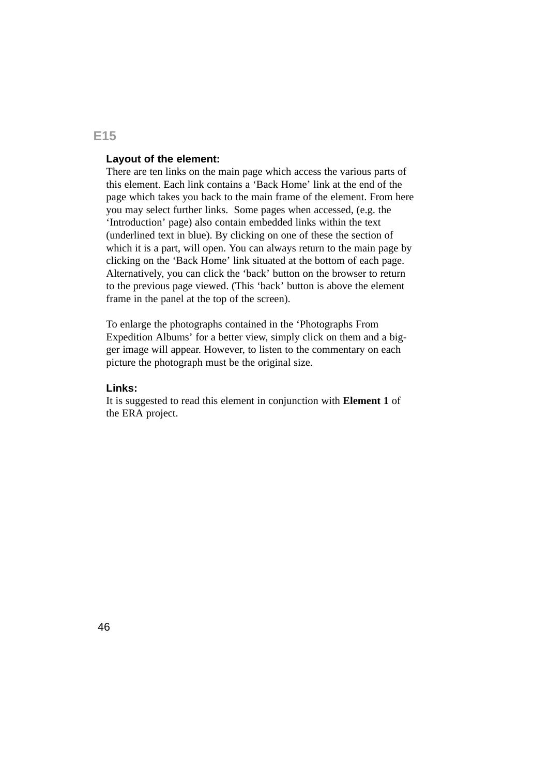## **Layout of the element:**

There are ten links on the main page which access the various parts of this element. Each link contains a 'Back Home' link at the end of the page which takes you back to the main frame of the element. From here you may select further links. Some pages when accessed, (e.g. the 'Introduction' page) also contain embedded links within the text (underlined text in blue). By clicking on one of these the section of which it is a part, will open. You can always return to the main page by clicking on the 'Back Home' link situated at the bottom of each page. Alternatively, you can click the 'back' button on the browser to return to the previous page viewed. (This 'back' button is above the element frame in the panel at the top of the screen).

To enlarge the photographs contained in the 'Photographs From Expedition Albums' for a better view, simply click on them and a bigger image will appear. However, to listen to the commentary on each picture the photograph must be the original size.

#### **Links:**

It is suggested to read this element in conjunction with **Element 1** of the ERA project.

# **E15**